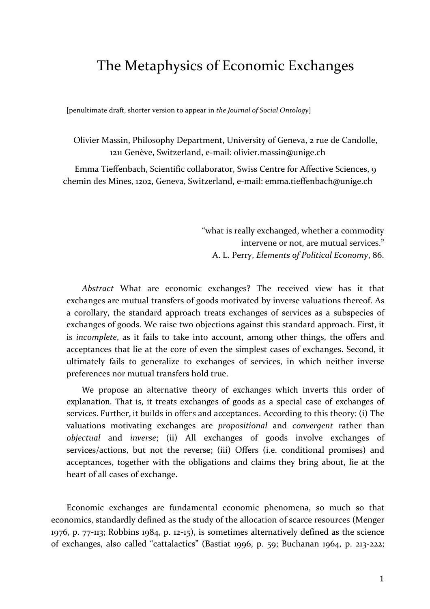# The Metaphysics of Economic Exchanges

[penultimate draft, shorter version to appear in *the Journal of Social Ontology*]

Olivier Massin, Philosophy Department, University of Geneva, 2 rue de Candolle, 1211 Genève, Switzerland, e-mail: olivier.massin@unige.ch

Emma Tieffenbach, Scientific collaborator, Swiss Centre for Affective Sciences, 9 chemin des Mines, 1202, Geneva, Switzerland, e-mail: emma.tieffenbach@unige.ch

> "what is really exchanged, whether a commodity intervene or not, are mutual services." A. L. Perry, *Elements of Political Economy*, 86.

Abstract What are economic exchanges? The received view has it that exchanges are mutual transfers of goods motivated by inverse valuations thereof. As a corollary, the standard approach treats exchanges of services as a subspecies of exchanges of goods. We raise two objections against this standard approach. First, it is *incomplete*, as it fails to take into account, among other things, the offers and acceptances that lie at the core of even the simplest cases of exchanges. Second, it ultimately fails to generalize to exchanges of services, in which neither inverse preferences nor mutual transfers hold true.

We propose an alternative theory of exchanges which inverts this order of explanation. That is, it treats exchanges of goods as a special case of exchanges of services. Further, it builds in offers and acceptances. According to this theory: (i) The valuations motivating exchanges are *propositional* and *convergent* rather than *objectual* and *inverse*; (ii) All exchanges of goods involve exchanges of services/actions, but not the reverse; (iii) Offers (i.e. conditional promises) and acceptances, together with the obligations and claims they bring about, lie at the heart of all cases of exchange.

Economic exchanges are fundamental economic phenomena, so much so that economics, standardly defined as the study of the allocation of scarce resources (Menger 1976, p.  $77$ -113; Robbins 1984, p. 12-15), is sometimes alternatively defined as the science of exchanges, also called "cattalactics" (Bastiat 1996, p. 59; Buchanan 1964, p. 213-222;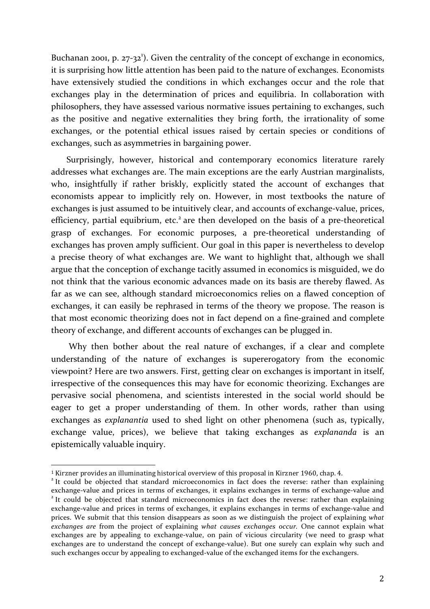Buchanan 2001, p. 27-32<sup>1</sup>). Given the centrality of the concept of exchange in economics, it is surprising how little attention has been paid to the nature of exchanges. Economists have extensively studied the conditions in which exchanges occur and the role that exchanges play in the determination of prices and equilibria. In collaboration with philosophers, they have assessed various normative issues pertaining to exchanges, such as the positive and negative externalities they bring forth, the irrationality of some exchanges, or the potential ethical issues raised by certain species or conditions of exchanges, such as asymmetries in bargaining power.

Surprisingly, however, historical and contemporary economics literature rarely addresses what exchanges are. The main exceptions are the early Austrian marginalists, who, insightfully if rather briskly, explicitly stated the account of exchanges that economists appear to implicitly rely on. However, in most textbooks the nature of exchanges is just assumed to be intuitively clear, and accounts of exchange-value, prices, efficiency, partial equibrium, etc.<sup>2</sup> are then developed on the basis of a pre-theoretical grasp of exchanges. For economic purposes, a pre-theoretical understanding of exchanges has proven amply sufficient. Our goal in this paper is nevertheless to develop a precise theory of what exchanges are. We want to highlight that, although we shall argue that the conception of exchange tacitly assumed in economics is misguided, we do not think that the various economic advances made on its basis are thereby flawed. As far as we can see, although standard microeconomics relies on a flawed conception of exchanges, it can easily be rephrased in terms of the theory we propose. The reason is that most economic theorizing does not in fact depend on a fine-grained and complete theory of exchange, and different accounts of exchanges can be plugged in.

Why then bother about the real nature of exchanges, if a clear and complete understanding of the nature of exchanges is supererogatory from the economic viewpoint? Here are two answers. First, getting clear on exchanges is important in itself, irrespective of the consequences this may have for economic theorizing. Exchanges are pervasive social phenomena, and scientists interested in the social world should be eager to get a proper understanding of them. In other words, rather than using exchanges as *explanantia* used to shed light on other phenomena (such as, typically, exchange value, prices), we believe that taking exchanges as *explananda* is an epistemically valuable inquiry.

 

<sup>&</sup>lt;sup>1</sup> Kirzner provides an illuminating historical overview of this proposal in Kirzner 1960, chap. 4.<br><sup>2</sup> It could be objected that standard microeconomics in fact does the reverse: rather than explaining

exchange-value and prices in terms of exchanges, it explains exchanges in terms of exchange-value and  $2$  It could be objected that standard microeconomics in fact does the reverse: rather than explaining exchange-value and prices in terms of exchanges, it explains exchanges in terms of exchange-value and prices. We submit that this tension disappears as soon as we distinguish the project of explaining *what exchanges are* from the project of explaining *what causes exchanges occur*. One cannot explain what exchanges are by appealing to exchange-value, on pain of vicious circularity (we need to grasp what exchanges are to understand the concept of exchange-value). But one surely can explain why such and such exchanges occur by appealing to exchanged-value of the exchanged items for the exchangers.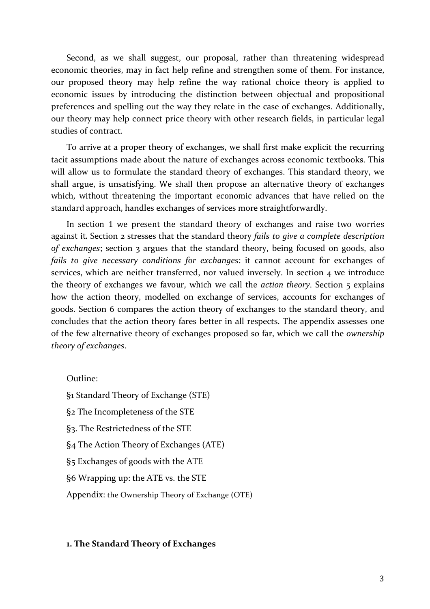Second, as we shall suggest, our proposal, rather than threatening widespread economic theories, may in fact help refine and strengthen some of them. For instance, our proposed theory may help refine the way rational choice theory is applied to economic issues by introducing the distinction between objectual and propositional preferences and spelling out the way they relate in the case of exchanges. Additionally, our theory may help connect price theory with other research fields, in particular legal studies of contract.

To arrive at a proper theory of exchanges, we shall first make explicit the recurring tacit assumptions made about the nature of exchanges across economic textbooks. This will allow us to formulate the standard theory of exchanges. This standard theory, we shall argue, is unsatisfying. We shall then propose an alternative theory of exchanges which, without threatening the important economic advances that have relied on the standard approach, handles exchanges of services more straightforwardly.

In section 1 we present the standard theory of exchanges and raise two worries against it. Section 2 stresses that the standard theory *fails* to *give a complete description of exchanges*; section 3 argues that the standard theory, being focused on goods, also *fails* to *give* necessary conditions for exchanges: it cannot account for exchanges of services, which are neither transferred, nor valued inversely. In section 4 we introduce the theory of exchanges we favour, which we call the *action theory*. Section 5 explains how the action theory, modelled on exchange of services, accounts for exchanges of goods. Section 6 compares the action theory of exchanges to the standard theory, and concludes that the action theory fares better in all respects. The appendix assesses one of the few alternative theory of exchanges proposed so far, which we call the *ownership theory of exchanges*. 

## Outline:

§1 Standard Theory of Exchange (STE) §2 The Incompleteness of the STE §3. The Restrictedness of the STE §4 The Action Theory of Exchanges (ATE) §5 Exchanges of goods with the ATE §6 Wrapping up: the ATE vs. the STE Appendix: the Ownership Theory of Exchange (OTE)

#### **1. The Standard Theory of Exchanges**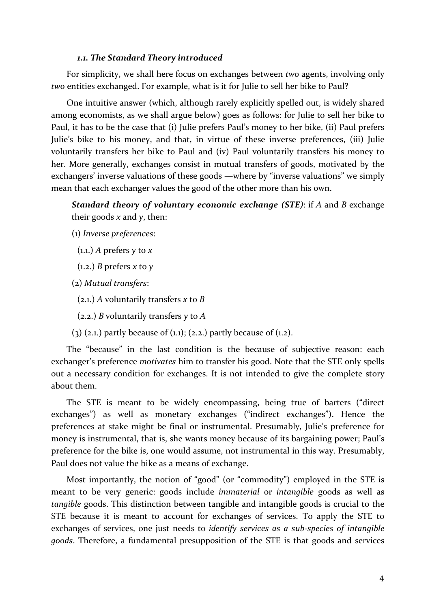#### 1.1. The Standard Theory introduced

For simplicity, we shall here focus on exchanges between *two* agents, involving only *two* entities exchanged. For example, what is it for Julie to sell her bike to Paul?

One intuitive answer (which, although rarely explicitly spelled out, is widely shared among economists, as we shall argue below) goes as follows: for Julie to sell her bike to Paul, it has to be the case that (i) Julie prefers Paul's money to her bike, (ii) Paul prefers Julie's bike to his money, and that, in virtue of these inverse preferences, (iii) Julie voluntarily transfers her bike to Paul and (iv) Paul voluntarily transfers his money to her. More generally, exchanges consist in mutual transfers of goods, motivated by the exchangers' inverse valuations of these goods —where by "inverse valuations" we simply mean that each exchanger values the good of the other more than his own.

**Standard theory of voluntary economic exchange (STE):** if *A* and *B* exchange their goods  $x$  and  $y$ , then:

(1) *Inverse preferences*: 

- $(1.1)$  *A* prefers *y* to *x*
- $(1.2.)$  *B* prefers *x* to *y*

(2) *Mutual transfers*: 

 $(2.1)$  *A* voluntarily transfers *x* to *B* 

 $(2.2.)$  *B* voluntarily transfers  $\gamma$  to *A* 

 $(3)$  (2.1.) partly because of  $(1.1)$ ;  $(2.2.)$  partly because of  $(1.2)$ .

The "because" in the last condition is the because of subjective reason: each exchanger's preference *motivates* him to transfer his good. Note that the STE only spells out a necessary condition for exchanges. It is not intended to give the complete story about them.

The STE is meant to be widely encompassing, being true of barters ("direct exchanges") as well as monetary exchanges ("indirect exchanges"). Hence the preferences at stake might be final or instrumental. Presumably, Julie's preference for money is instrumental, that is, she wants money because of its bargaining power; Paul's preference for the bike is, one would assume, not instrumental in this way. Presumably, Paul does not value the bike as a means of exchange.

Most importantly, the notion of "good" (or "commodity") employed in the STE is meant to be very generic: goods include *immaterial* or *intangible* goods as well as *tangible* goods. This distinction between tangible and intangible goods is crucial to the STE because it is meant to account for exchanges of services. To apply the STE to exchanges of services, one just needs to *identify services* as a sub-species of intangible goods. Therefore, a fundamental presupposition of the STE is that goods and services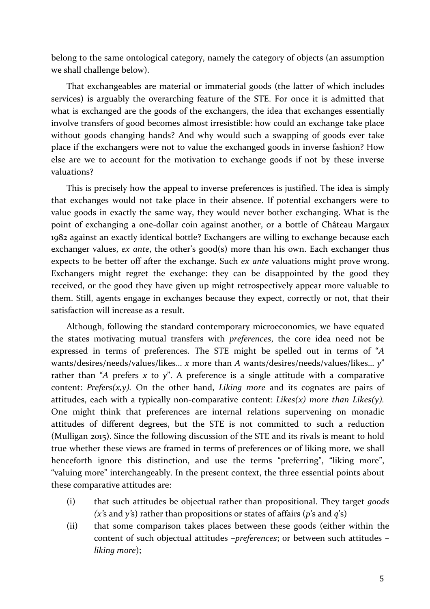belong to the same ontological category, namely the category of objects (an assumption we shall challenge below).

That exchangeables are material or immaterial goods (the latter of which includes services) is arguably the overarching feature of the STE. For once it is admitted that what is exchanged are the goods of the exchangers, the idea that exchanges essentially involve transfers of good becomes almost irresistible: how could an exchange take place without goods changing hands? And why would such a swapping of goods ever take place if the exchangers were not to value the exchanged goods in inverse fashion? How else are we to account for the motivation to exchange goods if not by these inverse valuations? 

This is precisely how the appeal to inverse preferences is justified. The idea is simply that exchanges would not take place in their absence. If potential exchangers were to value goods in exactly the same way, they would never bother exchanging. What is the point of exchanging a one-dollar coin against another, or a bottle of Château Margaux 1982 against an exactly identical bottle? Exchangers are willing to exchange because each exchanger values, *ex ante*, the other's good(s) more than his own. Each exchanger thus expects to be better off after the exchange. Such *ex ante* valuations might prove wrong. Exchangers might regret the exchange: they can be disappointed by the good they received, or the good they have given up might retrospectively appear more valuable to them. Still, agents engage in exchanges because they expect, correctly or not, that their satisfaction will increase as a result.

Although, following the standard contemporary microeconomics, we have equated the states motivating mutual transfers with *preferences*, the core idea need not be expressed in terms of preferences. The STE might be spelled out in terms of "*A* wants/desires/needs/values/likes... *x* more than *A* wants/desires/needs/values/likes... *y*" rather than "A prefers  $x$  to  $y$ ". A preference is a single attitude with a comparative content: *Prefers(x,y)*. On the other hand, *Liking more* and its cognates are pairs of attitudes, each with a typically non-comparative content: *Likes(x)* more than *Likes(y)*. One might think that preferences are internal relations supervening on monadic attitudes of different degrees, but the STE is not committed to such a reduction (Mulligan 2015). Since the following discussion of the STE and its rivals is meant to hold true whether these views are framed in terms of preferences or of liking more, we shall henceforth ignore this distinction, and use the terms "preferring", "liking more", "valuing more" interchangeably. In the present context, the three essential points about these comparative attitudes are:

- (i) that such attitudes be objectual rather than propositional. They target *goods (x's* and *y's*) rather than propositions or states of affairs *(p's* and *q's)*
- (ii) that some comparison takes places between these goods (either within the content of such objectual attitudes -preferences; or between such attitudes *liking more*);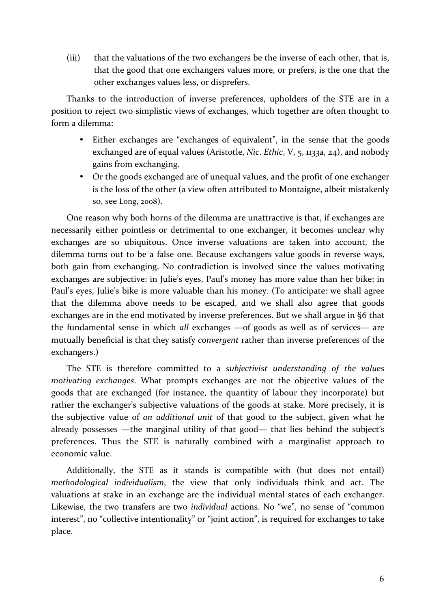(iii) that the valuations of the two exchangers be the inverse of each other, that is, that the good that one exchangers values more, or prefers, is the one that the other exchanges values less, or disprefers.

Thanks to the introduction of inverse preferences, upholders of the STE are in a position to reject two simplistic views of exchanges, which together are often thought to form a dilemma:

- Either exchanges are "exchanges of equivalent", in the sense that the goods exchanged are of equal values (Aristotle, *Nic. Ethic*, V, 5, 1133a, 24), and nobody gains from exchanging.
- Or the goods exchanged are of unequal values, and the profit of one exchanger is the loss of the other (a view often attributed to Montaigne, albeit mistakenly so, see Long, 2008).

One reason why both horns of the dilemma are unattractive is that, if exchanges are necessarily either pointless or detrimental to one exchanger, it becomes unclear why exchanges are so ubiquitous. Once inverse valuations are taken into account, the dilemma turns out to be a false one. Because exchangers value goods in reverse ways, both gain from exchanging. No contradiction is involved since the values motivating exchanges are subjective: in Julie's eyes, Paul's money has more value than her bike; in Paul's eyes, Julie's bike is more valuable than his money. (To anticipate: we shall agree that the dilemma above needs to be escaped, and we shall also agree that goods exchanges are in the end motivated by inverse preferences. But we shall argue in §6 that the fundamental sense in which *all* exchanges —of goods as well as of services— are mutually beneficial is that they satisfy *convergent* rather than inverse preferences of the exchangers.)

The STE is therefore committed to a *subjectivist understanding* of the values *motivating exchanges*. What prompts exchanges are not the objective values of the goods that are exchanged (for instance, the quantity of labour they incorporate) but rather the exchanger's subjective valuations of the goods at stake. More precisely, it is the subjective value of *an additional unit* of that good to the subject, given what he already possesses —the marginal utility of that  $good$ — that lies behind the subject's preferences. Thus the STE is naturally combined with a marginalist approach to economic value.

Additionally, the STE as it stands is compatible with (but does not entail) *methodological individualism*, the view that only individuals think and act. The valuations at stake in an exchange are the individual mental states of each exchanger. Likewise, the two transfers are two *individual* actions. No "we", no sense of "common interest", no "collective intentionality" or "joint action", is required for exchanges to take place.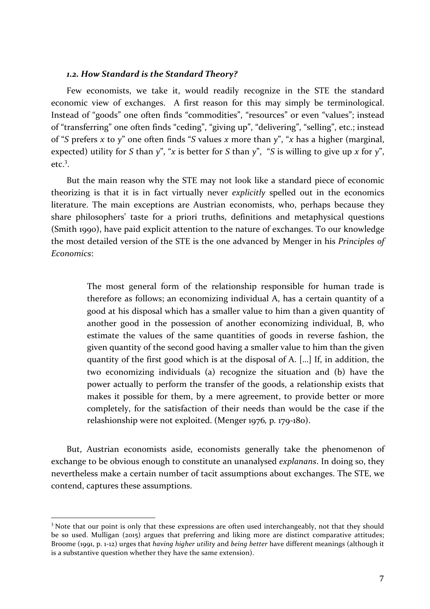#### 1.2. How Standard is the Standard Theory?

Few economists, we take it, would readily recognize in the STE the standard economic view of exchanges. A first reason for this may simply be terminological. Instead of "goods" one often finds "commodities", "resources" or even "values"; instead of "transferring" one often finds "ceding", "giving up", "delivering", "selling", etc.; instead of "*S* prefers *x* to *y*" one often finds "*S* values *x* more than *y*", "*x* has a higher (marginal, expected) utility for *S* than  $y''$ , "*x* is better for *S* than  $y''$ , "*S* is willing to give up *x* for  $y''$ ,  $etc.<sup>3</sup>$ .

But the main reason why the STE may not look like a standard piece of economic theorizing is that it is in fact virtually never *explicitly* spelled out in the economics literature. The main exceptions are Austrian economists, who, perhaps because they share philosophers' taste for a priori truths, definitions and metaphysical questions (Smith  $1990$ ), have paid explicit attention to the nature of exchanges. To our knowledge the most detailed version of the STE is the one advanced by Menger in his *Principles* of *Economics*:

> The most general form of the relationship responsible for human trade is therefore as follows; an economizing individual A, has a certain quantity of a good at his disposal which has a smaller value to him than a given quantity of another good in the possession of another economizing individual, B, who estimate the values of the same quantities of goods in reverse fashion, the given quantity of the second good having a smaller value to him than the given quantity of the first good which is at the disposal of A. [...] If, in addition, the two economizing individuals (a) recognize the situation and (b) have the power actually to perform the transfer of the goods, a relationship exists that makes it possible for them, by a mere agreement, to provide better or more completely, for the satisfaction of their needs than would be the case if the relashionship were not exploited. (Menger 1976, p. 179-180).

But, Austrian economists aside, economists generally take the phenomenon of exchange to be obvious enough to constitute an unanalysed *explanans*. In doing so, they nevertheless make a certain number of tacit assumptions about exchanges. The STE, we contend, captures these assumptions.

<sup>&</sup>lt;sup>3</sup> Note that our point is only that these expressions are often used interchangeably, not that they should be so used. Mulligan (2015) argues that preferring and liking more are distinct comparative attitudes; Broome (1991, p. 1-12) urges that *having higher utility* and *being better* have different meanings (although it is a substantive question whether they have the same extension).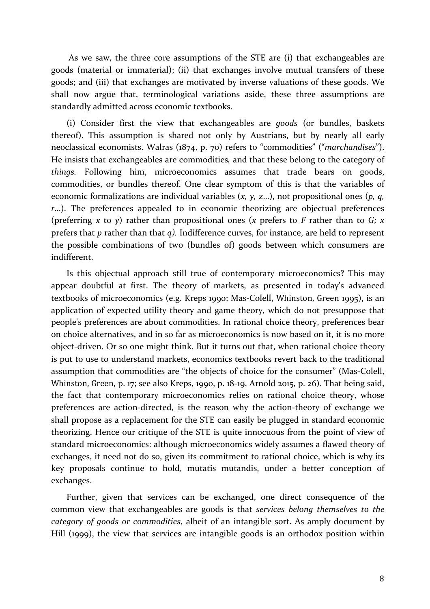As we saw, the three core assumptions of the STE are (i) that exchangeables are goods (material or immaterial); (ii) that exchanges involve mutual transfers of these goods; and (iii) that exchanges are motivated by inverse valuations of these goods. We shall now argue that, terminological variations aside, these three assumptions are standardly admitted across economic textbooks.

(i) Consider first the view that exchangeables are *goods* (or bundles, baskets thereof). This assumption is shared not only by Austrians, but by nearly all early neoclassical economists. Walras (1874, p. 70) refers to "commodities" ("*marchandises*"). He insists that exchangeables are commodities, and that these belong to the category of *things.* Following him, microeconomics assumes that trade bears on goods, commodities, or bundles thereof. One clear symptom of this is that the variables of economic formalizations are individual variables  $(x, y, z...)$ , not propositional ones  $(p, q, z)$ *r*...). The preferences appealed to in economic theorizing are objectual preferences (preferring x to y) rather than propositional ones (x prefers to F rather than to  $G$ ; x prefers that  $p$  rather than that  $q$ ). Indifference curves, for instance, are held to represent the possible combinations of two (bundles of) goods between which consumers are indifferent.

Is this objectual approach still true of contemporary microeconomics? This may appear doubtful at first. The theory of markets, as presented in today's advanced textbooks of microeconomics (e.g. Kreps 1990; Mas-Colell, Whinston, Green 1995), is an application of expected utility theory and game theory, which do not presuppose that people's preferences are about commodities. In rational choice theory, preferences bear on choice alternatives, and in so far as microeconomics is now based on it, it is no more object-driven. Or so one might think. But it turns out that, when rational choice theory is put to use to understand markets, economics textbooks revert back to the traditional assumption that commodities are "the objects of choice for the consumer" (Mas-Colell, Whinston, Green, p. 17; see also Kreps, 1990, p. 18-19, Arnold 2015, p. 26). That being said, the fact that contemporary microeconomics relies on rational choice theory, whose preferences are action-directed, is the reason why the action-theory of exchange we shall propose as a replacement for the STE can easily be plugged in standard economic theorizing. Hence our critique of the STE is quite innocuous from the point of view of standard microeconomics: although microeconomics widely assumes a flawed theory of exchanges, it need not do so, given its commitment to rational choice, which is why its key proposals continue to hold, mutatis mutandis, under a better conception of exchanges.

Further, given that services can be exchanged, one direct consequence of the common view that exchangeables are goods is that *services* belong *themselves* to the *category* of *goods* or *commodities*, albeit of an intangible sort. As amply document by Hill (1999), the view that services are intangible goods is an orthodox position within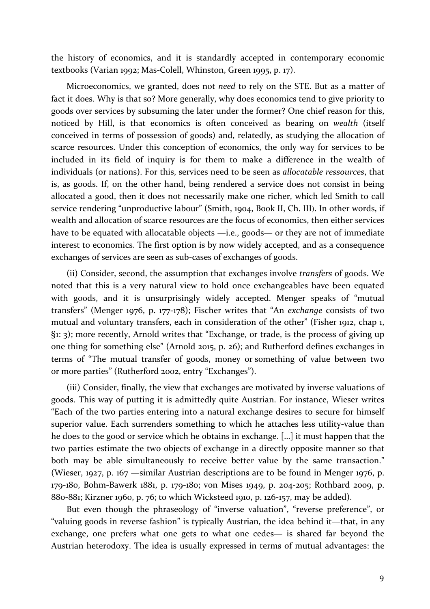the history of economics, and it is standardly accepted in contemporary economic textbooks (Varian 1992; Mas-Colell, Whinston, Green 1995, p. 17).

Microeconomics, we granted, does not *need* to rely on the STE. But as a matter of fact it does. Why is that so? More generally, why does economics tend to give priority to goods over services by subsuming the later under the former? One chief reason for this, noticed by Hill, is that economics is often conceived as bearing on *wealth* (itself conceived in terms of possession of goods) and, relatedly, as studying the allocation of scarce resources. Under this conception of economics, the only way for services to be included in its field of inquiry is for them to make a difference in the wealth of individuals (or nations). For this, services need to be seen as *allocatable ressources*, that is, as goods. If, on the other hand, being rendered a service does not consist in being allocated a good, then it does not necessarily make one richer, which led Smith to call service rendering "unproductive labour" (Smith, 1904, Book II, Ch. III). In other words, if wealth and allocation of scarce resources are the focus of economics, then either services have to be equated with allocatable objects  $\frac{d}{dt}$ . goods— or they are not of immediate interest to economics. The first option is by now widely accepted, and as a consequence exchanges of services are seen as sub-cases of exchanges of goods.

(ii) Consider, second, the assumption that exchanges involve *transfers* of goods. We noted that this is a very natural view to hold once exchangeables have been equated with goods, and it is unsurprisingly widely accepted. Menger speaks of "mutual transfers" (Menger 1976, p. 177-178); Fischer writes that "An *exchange* consists of two mutual and voluntary transfers, each in consideration of the other" (Fisher 1912, chap 1,  $\S$ 1: 3); more recently, Arnold writes that "Exchange, or trade, is the process of giving up one thing for something else" (Arnold 2015, p. 26); and Rutherford defines exchanges in terms of "The mutual transfer of goods, money or something of value between two or more parties" (Rutherford 2002, entry "Exchanges").

(iii) Consider, finally, the view that exchanges are motivated by inverse valuations of goods. This way of putting it is admittedly quite Austrian. For instance, Wieser writes "Each of the two parties entering into a natural exchange desires to secure for himself superior value. Each surrenders something to which he attaches less utility-value than he does to the good or service which he obtains in exchange. [...] it must happen that the two parties estimate the two objects of exchange in a directly opposite manner so that both may be able simultaneously to receive better value by the same transaction." (Wieser, 1927, p. 167 —similar Austrian descriptions are to be found in Menger 1976, p. 179-180, Bohm-Bawerk 1881, p. 179-180; von Mises 1949, p. 204-205; Rothbard 2009, p. 880-881; Kirzner 1960, p. 76; to which Wicksteed 1910, p. 126-157, may be added).

But even though the phraseology of "inverse valuation", "reverse preference", or "valuing goods in reverse fashion" is typically Austrian, the idea behind it—that, in any exchange, one prefers what one gets to what one cedes— is shared far beyond the Austrian heterodoxy. The idea is usually expressed in terms of mutual advantages: the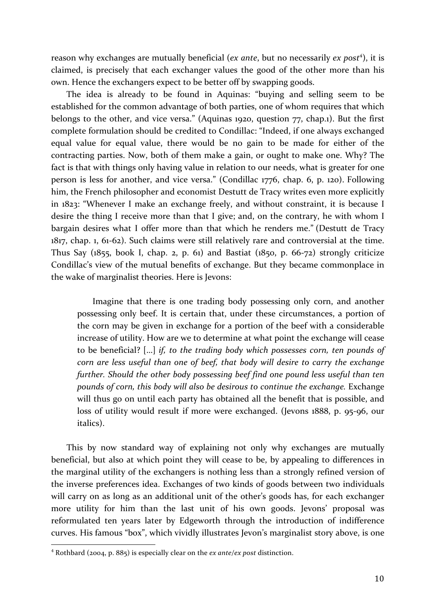reason why exchanges are mutually beneficial (*ex ante*, but no necessarily *ex post<sup>4</sup>*), it is claimed, is precisely that each exchanger values the good of the other more than his own. Hence the exchangers expect to be better off by swapping goods.

The idea is already to be found in Aquinas: "buying and selling seem to be established for the common advantage of both parties, one of whom requires that which belongs to the other, and vice versa." (Aquinas 1920, question 77, chap.1). But the first complete formulation should be credited to Condillac: "Indeed, if one always exchanged equal value for equal value, there would be no gain to be made for either of the contracting parties. Now, both of them make a gain, or ought to make one. Why? The fact is that with things only having value in relation to our needs, what is greater for one person is less for another, and vice versa." (Condillac 1776, chap. 6, p. 120). Following him, the French philosopher and economist Destutt de Tracy writes even more explicitly in 1823: "Whenever I make an exchange freely, and without constraint, it is because I desire the thing I receive more than that I give; and, on the contrary, he with whom I bargain desires what I offer more than that which he renders me." (Destutt de Tracy  $1817$ , chap. 1, 61-62). Such claims were still relatively rare and controversial at the time. Thus Say  $(1855, book I, chap. 2, p. 61)$  and Bastiat  $(1850, p. 66-72)$  strongly criticize Condillac's view of the mutual benefits of exchange. But they became commonplace in the wake of marginalist theories. Here is Jevons:

Imagine that there is one trading body possessing only corn, and another possessing only beef. It is certain that, under these circumstances, a portion of the corn may be given in exchange for a portion of the beef with a considerable increase of utility. How are we to determine at what point the exchange will cease to be beneficial? [...] *if,* to the trading body which possesses corn, ten pounds of *corn are less useful than one of beef, that body will desire to carry the exchange further.* Should the other body possessing beef find one pound less useful than ten *pounds of corn, this body will also be desirous to continue the exchange.* Exchange will thus go on until each party has obtained all the benefit that is possible, and loss of utility would result if more were exchanged. (Jevons 1888, p. 95-96, our italics).

This by now standard way of explaining not only why exchanges are mutually beneficial, but also at which point they will cease to be, by appealing to differences in the marginal utility of the exchangers is nothing less than a strongly refined version of the inverse preferences idea. Exchanges of two kinds of goods between two individuals will carry on as long as an additional unit of the other's goods has, for each exchanger more utility for him than the last unit of his own goods. Jevons' proposal was reformulated ten years later by Edgeworth through the introduction of indifference curves. His famous "box", which vividly illustrates Jevon's marginalist story above, is one

 $4$  Rothbard (2004, p. 885) is especially clear on the *ex ante/ex post* distinction.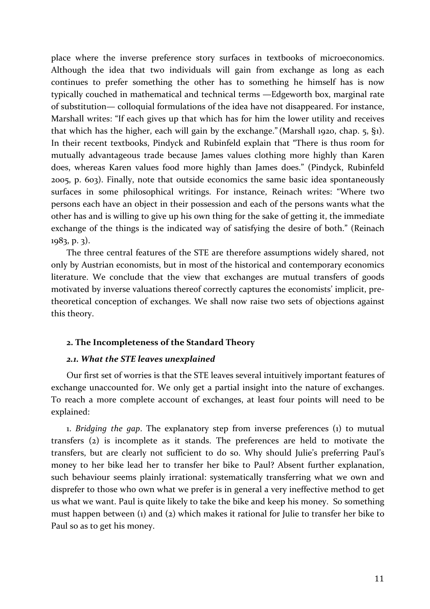place where the inverse preference story surfaces in textbooks of microeconomics. Although the idea that two individuals will gain from exchange as long as each continues to prefer something the other has to something he himself has is now typically couched in mathematical and technical terms —Edgeworth box, marginal rate of substitution— colloquial formulations of the idea have not disappeared. For instance, Marshall writes: "If each gives up that which has for him the lower utility and receives that which has the higher, each will gain by the exchange." (Marshall 1920, chap.  $5$ , §1). In their recent textbooks, Pindyck and Rubinfeld explain that "There is thus room for mutually advantageous trade because James values clothing more highly than Karen does, whereas Karen values food more highly than James does." (Pindyck, Rubinfeld  $2005$ , p.  $603$ ). Finally, note that outside economics the same basic idea spontaneously surfaces in some philosophical writings. For instance, Reinach writes: "Where two persons each have an object in their possession and each of the persons wants what the other has and is willing to give up his own thing for the sake of getting it, the immediate exchange of the things is the indicated way of satisfying the desire of both." (Reinach  $1983, p. 3$ .

The three central features of the STE are therefore assumptions widely shared, not only by Austrian economists, but in most of the historical and contemporary economics literature. We conclude that the view that exchanges are mutual transfers of goods motivated by inverse valuations thereof correctly captures the economists' implicit, pretheoretical conception of exchanges. We shall now raise two sets of objections against this theory.

### 2. The Incompleteness of the Standard Theory

### *2.1. What the STE leaves unexplained*

Our first set of worries is that the STE leaves several intuitively important features of exchange unaccounted for. We only get a partial insight into the nature of exchanges. To reach a more complete account of exchanges, at least four points will need to be explained:

1. *Bridging the gap*. The explanatory step from inverse preferences (1) to mutual transfers  $(2)$  is incomplete as it stands. The preferences are held to motivate the transfers, but are clearly not sufficient to do so. Why should Julie's preferring Paul's money to her bike lead her to transfer her bike to Paul? Absent further explanation, such behaviour seems plainly irrational: systematically transferring what we own and disprefer to those who own what we prefer is in general a very ineffective method to get us what we want. Paul is quite likely to take the bike and keep his money. So something must happen between  $(1)$  and  $(2)$  which makes it rational for Julie to transfer her bike to Paul so as to get his money.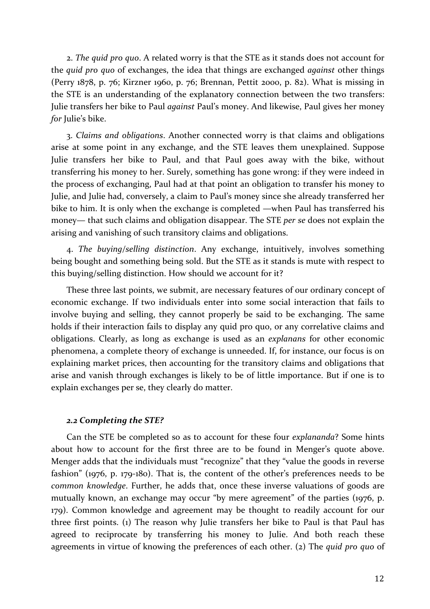2. *The quid pro quo.* A related worry is that the STE as it stands does not account for the *quid* pro *quo* of exchanges, the idea that things are exchanged *against* other things (Perry 1878, p. 76; Kirzner 1960, p. 76; Brennan, Pettit 2000, p. 82). What is missing in the STE is an understanding of the explanatory connection between the two transfers: Julie transfers her bike to Paul *against* Paul's money. And likewise, Paul gives her money *for* Julie's bike.

3. *Claims and obligations*. Another connected worry is that claims and obligations arise at some point in any exchange, and the STE leaves them unexplained. Suppose Julie transfers her bike to Paul, and that Paul goes away with the bike, without transferring his money to her. Surely, something has gone wrong: if they were indeed in the process of exchanging, Paul had at that point an obligation to transfer his money to Julie, and Julie had, conversely, a claim to Paul's money since she already transferred her bike to him. It is only when the exchange is completed —when Paul has transferred his money— that such claims and obligation disappear. The STE *per se* does not explain the arising and vanishing of such transitory claims and obligations.

4. *The buying/selling distinction*. Any exchange, intuitively, involves something being bought and something being sold. But the STE as it stands is mute with respect to this buying/selling distinction. How should we account for it?

These three last points, we submit, are necessary features of our ordinary concept of economic exchange. If two individuals enter into some social interaction that fails to involve buying and selling, they cannot properly be said to be exchanging. The same holds if their interaction fails to display any quid pro quo, or any correlative claims and obligations. Clearly, as long as exchange is used as an *explanans* for other economic phenomena, a complete theory of exchange is unneeded. If, for instance, our focus is on explaining market prices, then accounting for the transitory claims and obligations that arise and vanish through exchanges is likely to be of little importance. But if one is to explain exchanges per se, they clearly do matter.

### *2.2 Completing the STE?*

Can the STE be completed so as to account for these four *explananda*? Some hints about how to account for the first three are to be found in Menger's quote above. Menger adds that the individuals must "recognize" that they "value the goods in reverse fashion" (1976, p. 179-180). That is, the content of the other's preferences needs to be *common knowledge*. Further, he adds that, once these inverse valuations of goods are mutually known, an exchange may occur "by mere agreement" of the parties (1976, p. 179). Common knowledge and agreement may be thought to readily account for our three first points. (1) The reason why Julie transfers her bike to Paul is that Paul has agreed to reciprocate by transferring his money to Julie. And both reach these agreements in virtue of knowing the preferences of each other. (2) The *quid pro quo* of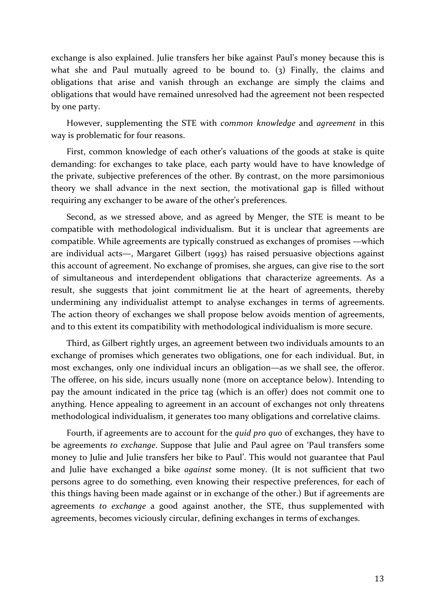exchange is also explained. Julie transfers her bike against Paul's money because this is what she and Paul mutually agreed to be bound to.  $(3)$  Finally, the claims and obligations that arise and vanish through an exchange are simply the claims and obligations that would have remained unresolved had the agreement not been respected by one party.

However, supplementing the STE with *common knowledge* and *agreement* in this way is problematic for four reasons.

First, common knowledge of each other's valuations of the goods at stake is quite demanding: for exchanges to take place, each party would have to have knowledge of the private, subjective preferences of the other. By contrast, on the more parsimonious theory we shall advance in the next section, the motivational gap is filled without requiring any exchanger to be aware of the other's preferences.

Second, as we stressed above, and as agreed by Menger, the STE is meant to be compatible with methodological individualism. But it is unclear that agreements are compatible. While agreements are typically construed as exchanges of promises —which are individual acts—, Margaret Gilbert (1993) has raised persuasive objections against this account of agreement. No exchange of promises, she argues, can give rise to the sort of simultaneous and interdependent obligations that characterize agreements. As a result, she suggests that joint commitment lie at the heart of agreements, thereby undermining any individualist attempt to analyse exchanges in terms of agreements. The action theory of exchanges we shall propose below avoids mention of agreements, and to this extent its compatibility with methodological individualism is more secure.

Third, as Gilbert rightly urges, an agreement between two individuals amounts to an exchange of promises which generates two obligations, one for each individual. But, in most exchanges, only one individual incurs an obligation—as we shall see, the offeror. The offeree, on his side, incurs usually none (more on acceptance below). Intending to pay the amount indicated in the price tag (which is an offer) does not commit one to anything. Hence appealing to agreement in an account of exchanges not only threatens methodological individualism, it generates too many obligations and correlative claims.

Fourth, if agreements are to account for the *quid pro quo* of exchanges, they have to be agreements *to exchange*. Suppose that Julie and Paul agree on 'Paul transfers some money to Julie and Julie transfers her bike to Paul'. This would not guarantee that Paul and Julie have exchanged a bike *against* some money. (It is not sufficient that two persons agree to do something, even knowing their respective preferences, for each of this things having been made against or in exchange of the other.) But if agreements are agreements to exchange a good against another, the STE, thus supplemented with agreements, becomes viciously circular, defining exchanges in terms of exchanges.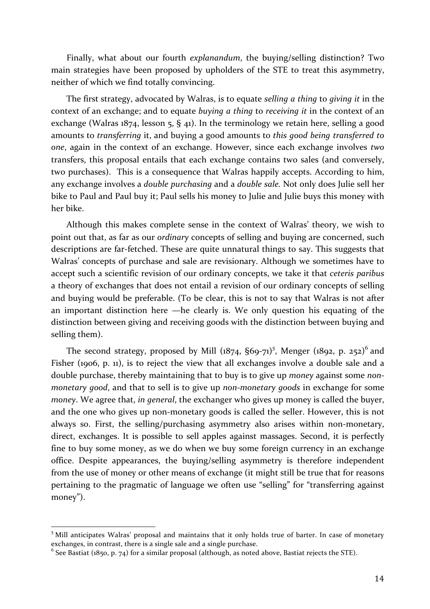Finally, what about our fourth *explanandum*, the buying/selling distinction? Two main strategies have been proposed by upholders of the STE to treat this asymmetry, neither of which we find totally convincing.

The first strategy, advocated by Walras, is to equate *selling a thing* to *giving* it in the context of an exchange; and to equate *buying a thing* to *receiving* it in the context of an exchange (Walras  $1874$ , lesson  $5$ , § 41). In the terminology we retain here, selling a good amounts to *transferring* it, and buying a good amounts to *this good being transferred to one*, again in the context of an exchange. However, since each exchange involves *two* transfers, this proposal entails that each exchange contains two sales (and conversely, two purchases). This is a consequence that Walras happily accepts. According to him, any exchange involves a *double purchasing* and a *double sale*. Not only does Julie sell her bike to Paul and Paul buy it; Paul sells his money to Julie and Julie buys this money with her bike.

Although this makes complete sense in the context of Walras' theory, we wish to point out that, as far as our *ordinary* concepts of selling and buying are concerned, such descriptions are far-fetched. These are quite unnatural things to say. This suggests that Walras' concepts of purchase and sale are revisionary. Although we sometimes have to accept such a scientific revision of our ordinary concepts, we take it that *ceteris paribus* a theory of exchanges that does not entail a revision of our ordinary concepts of selling and buying would be preferable. (To be clear, this is not to say that Walras is not after an important distinction here —he clearly is. We only question his equating of the distinction between giving and receiving goods with the distinction between buying and selling them).

The second strategy, proposed by Mill  $(1874, 869-71)^5$ , Menger  $(1892, p. 252)^6$  and Fisher (1906, p. 11), is to reject the view that all exchanges involve a double sale and a double purchase, thereby maintaining that to buy is to give up *money* against some *nonmonetary* good, and that to sell is to give up *non-monetary* goods in exchange for some *money*. We agree that, *in general*, the exchanger who gives up money is called the buyer, and the one who gives up non-monetary goods is called the seller. However, this is not always so. First, the selling/purchasing asymmetry also arises within non-monetary, direct, exchanges. It is possible to sell apples against massages. Second, it is perfectly fine to buy some money, as we do when we buy some foreign currency in an exchange office. Despite appearances, the buying/selling asymmetry is therefore independent from the use of money or other means of exchange (it might still be true that for reasons pertaining to the pragmatic of language we often use "selling" for "transferring against money").

 $5$  Mill anticipates Walras' proposal and maintains that it only holds true of barter. In case of monetary exchanges, in contrast, there is a single sale and a single purchase.

 $^6$  See Bastiat (1850, p. 74) for a similar proposal (although, as noted above, Bastiat rejects the STE).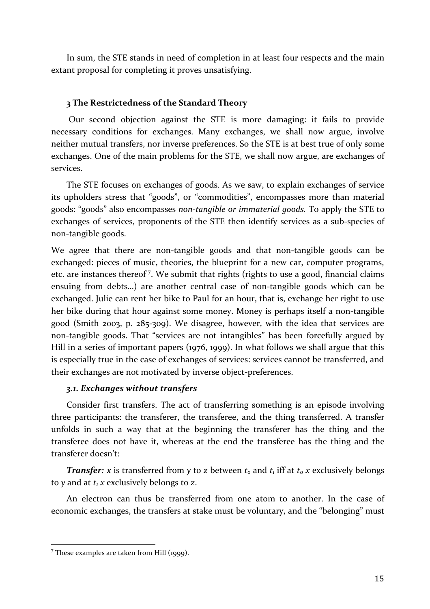In sum, the STE stands in need of completion in at least four respects and the main extant proposal for completing it proves unsatisfying.

## **3** The Restrictedness of the Standard Theory

Our second objection against the STE is more damaging: it fails to provide necessary conditions for exchanges. Many exchanges, we shall now argue, involve neither mutual transfers, nor inverse preferences. So the STE is at best true of only some exchanges. One of the main problems for the STE, we shall now argue, are exchanges of services.

The STE focuses on exchanges of goods. As we saw, to explain exchanges of service its upholders stress that "goods", or "commodities", encompasses more than material goods: "goods" also encompasses *non-tangible* or *immaterial goods*. To apply the STE to exchanges of services, proponents of the STE then identify services as a sub-species of non-tangible goods.

We agree that there are non-tangible goods and that non-tangible goods can be exchanged: pieces of music, theories, the blueprint for a new car, computer programs, etc. are instances thereof<sup>7</sup>. We submit that rights (rights to use a good, financial claims ensuing from debts...) are another central case of non-tangible goods which can be exchanged. Julie can rent her bike to Paul for an hour, that is, exchange her right to use her bike during that hour against some money. Money is perhaps itself a non-tangible good (Smith 2003, p. 285-309). We disagree, however, with the idea that services are non-tangible goods. That "services are not intangibles" has been forcefully argued by Hill in a series of important papers ( $1976$ ,  $1999$ ). In what follows we shall argue that this is especially true in the case of exchanges of services: services cannot be transferred, and their exchanges are not motivated by inverse object-preferences.

# *3.1. Exchanges without transfers*

Consider first transfers. The act of transferring something is an episode involving three participants: the transferer, the transferee, and the thing transferred. A transfer unfolds in such a way that at the beginning the transferer has the thing and the transferee does not have it, whereas at the end the transferee has the thing and the transferer doesn't:

*Transfer: x* is transferred from y to *z* between  $t_0$  and  $t_1$  iff at  $t_0$  *x* exclusively belongs to *y* and at  $t_1$  *x* exclusively belongs to *z*.

An electron can thus be transferred from one atom to another. In the case of economic exchanges, the transfers at stake must be voluntary, and the "belonging" must

 $7$  These examples are taken from Hill  $(1999)$ .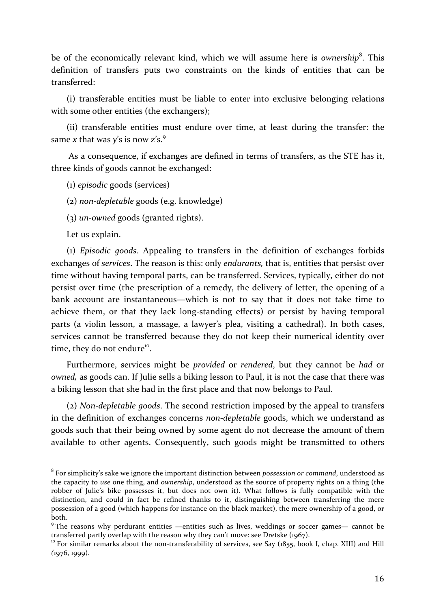be of the economically relevant kind, which we will assume here is *ownership*<sup>8</sup>. This definition of transfers puts two constraints on the kinds of entities that can be transferred:

(i) transferable entities must be liable to enter into exclusive belonging relations with some other entities (the exchangers);

(ii) transferable entities must endure over time, at least during the transfer: the same *x* that was *y*'s is now *z*'s.<sup>9</sup>

As a consequence, if exchanges are defined in terms of transfers, as the STE has it, three kinds of goods cannot be exchanged:

(1) *episodic* goods (services)

(2) *non-depletable* goods (e.g. knowledge)

(3) *un-owned* goods (granted rights). 

Let us explain.

(1) *Episodic goods*. Appealing to transfers in the definition of exchanges forbids exchanges of *services*. The reason is this: only *endurants*, that is, entities that persist over time without having temporal parts, can be transferred. Services, typically, either do not persist over time (the prescription of a remedy, the delivery of letter, the opening of a bank account are instantaneous—which is not to say that it does not take time to achieve them, or that they lack long-standing effects) or persist by having temporal parts (a violin lesson, a massage, a lawyer's plea, visiting a cathedral). In both cases, services cannot be transferred because they do not keep their numerical identity over time, they do not endure<sup>10</sup>.

Furthermore, services might be *provided* or *rendered*, but they cannot be *had* or *owned*, as goods can. If Julie sells a biking lesson to Paul, it is not the case that there was a biking lesson that she had in the first place and that now belongs to Paul.

(2) *Non-depletable goods*. The second restriction imposed by the appeal to transfers in the definition of exchanges concerns *non-depletable* goods, which we understand as goods such that their being owned by some agent do not decrease the amount of them available to other agents. Consequently, such goods might be transmitted to others

<sup>&</sup>lt;sup>8</sup> For simplicity's sake we ignore the important distinction between *possession* or *command*, understood as the capacity to *use* one thing, and *ownership*, understood as the source of property rights on a thing (the robber of Julie's bike possesses it, but does not own it). What follows is fully compatible with the distinction, and could in fact be refined thanks to it, distinguishing between transferring the mere possession of a good (which happens for instance on the black market), the mere ownership of a good, or both.

 $9$  The reasons why perdurant entities —entities such as lives, weddings or soccer games— cannot be transferred partly overlap with the reason why they can't move: see Dretske (1967).<br><sup>10</sup> For similar remarks about the non-transferability of services, see Say (1855, book I, chap. XIII) and Hill

*<sup>(</sup>*1976, 1999).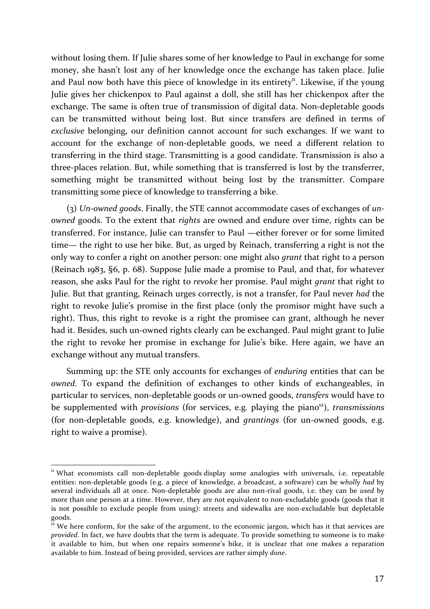without losing them. If Julie shares some of her knowledge to Paul in exchange for some money, she hasn't lost any of her knowledge once the exchange has taken place. Julie and Paul now both have this piece of knowledge in its entirety<sup>11</sup>. Likewise, if the young Julie gives her chickenpox to Paul against a doll, she still has her chickenpox after the exchange. The same is often true of transmission of digital data. Non-depletable goods can be transmitted without being lost. But since transfers are defined in terms of *exclusive* belonging, our definition cannot account for such exchanges. If we want to account for the exchange of non-depletable goods, we need a different relation to transferring in the third stage. Transmitting is a good candidate. Transmission is also a three-places relation. But, while something that is transferred is lost by the transferrer, something might be transmitted without being lost by the transmitter. Compare transmitting some piece of knowledge to transferring a bike.

(3) *Un-owned goods*. Finally, the STE cannot accommodate cases of exchanges of *unowned* goods. To the extent that *rights* are owned and endure over time, rights can be transferred. For instance, Julie can transfer to Paul —either forever or for some limited time— the right to use her bike. But, as urged by Reinach, transferring a right is not the only way to confer a right on another person: one might also *grant* that right to a person (Reinach 1983,  $\S6$ , p. 68). Suppose Julie made a promise to Paul, and that, for whatever reason, she asks Paul for the right to *revoke* her promise. Paul might *grant* that right to Julie. But that granting, Reinach urges correctly, is not a transfer, for Paul never *had* the right to revoke Julie's promise in the first place (only the promisor might have such a right). Thus, this right to revoke is a right the promisee can grant, although he never had it. Besides, such un-owned rights clearly can be exchanged. Paul might grant to Julie the right to revoke her promise in exchange for Julie's bike. Here again, we have an exchange without any mutual transfers.

Summing up: the STE only accounts for exchanges of *enduring* entities that can be *owned*. To expand the definition of exchanges to other kinds of exchangeables, in particular to services, non-depletable goods or un-owned goods, *transfers* would have to be supplemented with *provisions* (for services, e.g. playing the piano<sup>12</sup>), *transmissions* (for non-depletable goods, e.g. knowledge), and *grantings* (for un-owned goods, e.g. right to waive a promise).

 $11$  What economists call non-depletable goods display some analogies with universals, i.e. repeatable entities: non-depletable goods (e.g. a piece of knowledge, a broadcast, a software) can be *wholly had* by several individuals all at once. Non-depletable goods are also non-rival goods, i.e. they can be *used* by more than one person at a time. However, they are not equivalent to non-excludable goods (goods that it is not possible to exclude people from using): streets and sidewalks are non-excludable but depletable goods.

 $\frac{12}{12}$  We here conform, for the sake of the argument, to the economic jargon, which has it that services are *provided*. In fact, we have doubts that the term is adequate. To provide something to someone is to make it available to him, but when one repairs someone's bike, it is unclear that one makes a reparation available to him. Instead of being provided, services are rather simply *done*.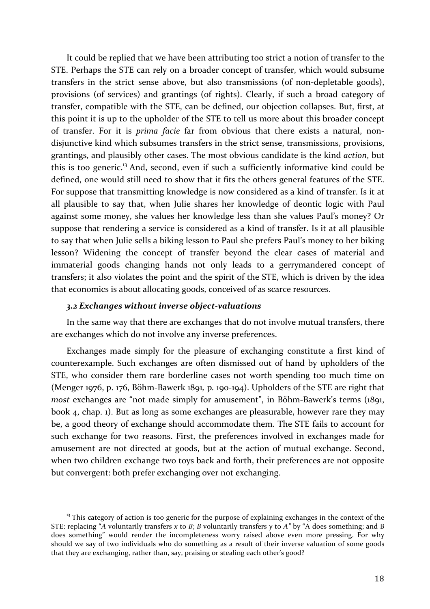It could be replied that we have been attributing too strict a notion of transfer to the STE. Perhaps the STE can rely on a broader concept of transfer, which would subsume transfers in the strict sense above, but also transmissions (of non-depletable goods), provisions (of services) and grantings (of rights). Clearly, if such a broad category of transfer, compatible with the STE, can be defined, our objection collapses. But, first, at this point it is up to the upholder of the STE to tell us more about this broader concept of transfer. For it is *prima facie* far from obvious that there exists a natural, nondisjunctive kind which subsumes transfers in the strict sense, transmissions, provisions, grantings, and plausibly other cases. The most obvious candidate is the kind *action*, but this is too generic.<sup>13</sup> And, second, even if such a sufficiently informative kind could be defined, one would still need to show that it fits the others general features of the STE. For suppose that transmitting knowledge is now considered as a kind of transfer. Is it at all plausible to say that, when Julie shares her knowledge of deontic logic with Paul against some money, she values her knowledge less than she values Paul's money? Or suppose that rendering a service is considered as a kind of transfer. Is it at all plausible to say that when Julie sells a biking lesson to Paul she prefers Paul's money to her biking lesson? Widening the concept of transfer beyond the clear cases of material and immaterial goods changing hands not only leads to a gerrymandered concept of transfers; it also violates the point and the spirit of the STE, which is driven by the idea that economics is about allocating goods, conceived of as scarce resources.

### *3.2 Exchanges without inverse object-valuations*

In the same way that there are exchanges that do not involve mutual transfers, there are exchanges which do not involve any inverse preferences.

Exchanges made simply for the pleasure of exchanging constitute a first kind of counterexample. Such exchanges are often dismissed out of hand by upholders of the STE, who consider them rare borderline cases not worth spending too much time on (Menger 1976, p. 176, Böhm-Bawerk 1891, p. 190-194). Upholders of the STE are right that *most* exchanges are "not made simply for amusement", in Böhm-Bawerk's terms (1891, book 4, chap. 1). But as long as some exchanges are pleasurable, however rare they may be, a good theory of exchange should accommodate them. The STE fails to account for such exchange for two reasons. First, the preferences involved in exchanges made for amusement are not directed at goods, but at the action of mutual exchange. Second, when two children exchange two toys back and forth, their preferences are not opposite but convergent: both prefer exchanging over not exchanging.

<sup>&</sup>lt;sup>13</sup> This category of action is too generic for the purpose of explaining exchanges in the context of the STE: replacing "A voluntarily transfers  $x$  to  $B$ ;  $B$  voluntarily transfers  $y$  to  $A$ " by "A does something; and  $B$ does something" would render the incompleteness worry raised above even more pressing. For why should we say of two individuals who do something as a result of their inverse valuation of some goods that they are exchanging, rather than, say, praising or stealing each other's good?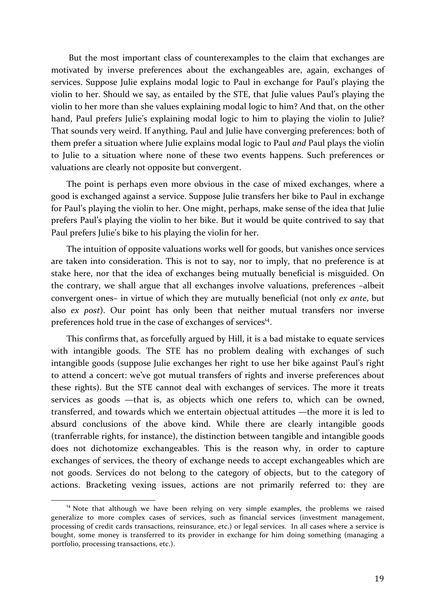But the most important class of counterexamples to the claim that exchanges are motivated by inverse preferences about the exchangeables are, again, exchanges of services. Suppose Julie explains modal logic to Paul in exchange for Paul's playing the violin to her. Should we say, as entailed by the STE, that Julie values Paul's playing the violin to her more than she values explaining modal logic to him? And that, on the other hand, Paul prefers Julie's explaining modal logic to him to playing the violin to Julie? That sounds very weird. If anything, Paul and Julie have converging preferences: both of them prefer a situation where Julie explains modal logic to Paul *and* Paul plays the violin to Julie to a situation where none of these two events happens. Such preferences or valuations are clearly not opposite but convergent.

The point is perhaps even more obvious in the case of mixed exchanges, where a good is exchanged against a service. Suppose Julie transfers her bike to Paul in exchange for Paul's playing the violin to her. One might, perhaps, make sense of the idea that Julie prefers Paul's playing the violin to her bike. But it would be quite contrived to say that Paul prefers Julie's bike to his playing the violin for her.

The intuition of opposite valuations works well for goods, but vanishes once services are taken into consideration. This is not to say, nor to imply, that no preference is at stake here, nor that the idea of exchanges being mutually beneficial is misguided. On the contrary, we shall argue that all exchanges involve valuations, preferences -albeit convergent ones- in virtue of which they are mutually beneficial (not only *ex ante*, but also *ex* post). Our point has only been that neither mutual transfers nor inverse preferences hold true in the case of exchanges of services<sup>14</sup>.

This confirms that, as forcefully argued by Hill, it is a bad mistake to equate services with intangible goods. The STE has no problem dealing with exchanges of such intangible goods (suppose Julie exchanges her right to use her bike against Paul's right to attend a concert: we've got mutual transfers of rights and inverse preferences about these rights). But the STE cannot deal with exchanges of services. The more it treats services as goods —that is, as objects which one refers to, which can be owned, transferred, and towards which we entertain objectual attitudes —the more it is led to absurd conclusions of the above kind. While there are clearly intangible goods (tranferrable rights, for instance), the distinction between tangible and intangible goods does not dichotomize exchangeables. This is the reason why, in order to capture exchanges of services, the theory of exchange needs to accept exchangeables which are not goods. Services do not belong to the category of objects, but to the category of actions. Bracketing vexing issues, actions are not primarily referred to: they are

<sup>&</sup>lt;sup>14</sup> Note that although we have been relying on very simple examples, the problems we raised generalize to more complex cases of services, such as financial services (investment management, processing of credit cards transactions, reinsurance, etc.) or legal services. In all cases where a service is bought, some money is transferred to its provider in exchange for him doing something (managing a portfolio, processing transactions, etc.).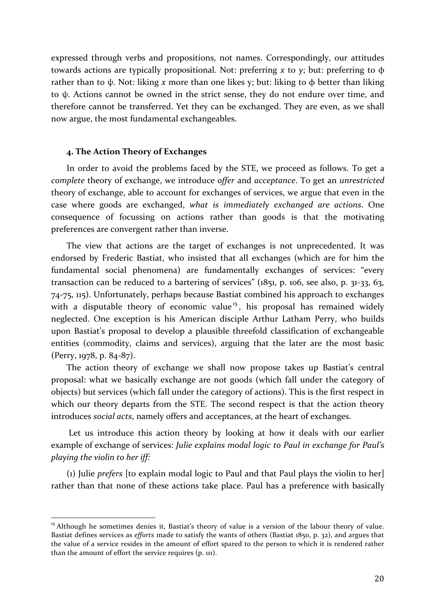expressed through verbs and propositions, not names. Correspondingly, our attitudes towards actions are typically propositional. Not: preferring *x* to *y*; but: preferring to  $\phi$ rather than to  $\psi$ . Not: liking x more than one likes y; but: liking to  $\phi$  better than liking to ψ. Actions cannot be owned in the strict sense, they do not endure over time, and therefore cannot be transferred. Yet they can be exchanged. They are even, as we shall now argue, the most fundamental exchangeables.

### **4. The Action Theory of Exchanges**

In order to avoid the problems faced by the STE, we proceed as follows. To get a *complete* theory of exchange, we introduce *offer* and *acceptance*. To get an *unrestricted* theory of exchange, able to account for exchanges of services, we argue that even in the case where goods are exchanged, *what is immediately exchanged are actions*. One consequence of focussing on actions rather than goods is that the motivating preferences are convergent rather than inverse.

The view that actions are the target of exchanges is not unprecedented. It was endorsed by Frederic Bastiat, who insisted that all exchanges (which are for him the fundamental social phenomena) are fundamentally exchanges of services: "every transaction can be reduced to a bartering of services"  $(1851, p. 106,$  see also, p. 31-33, 63, 74-75, 115). Unfortunately, perhaps because Bastiat combined his approach to exchanges with a disputable theory of economic value<sup>15</sup>, his proposal has remained widely neglected. One exception is his American disciple Arthur Latham Perry, who builds upon Bastiat's proposal to develop a plausible threefold classification of exchangeable entities (commodity, claims and services), arguing that the later are the most basic (Perry, 1978, p. 84-87).

The action theory of exchange we shall now propose takes up Bastiat's central proposal: what we basically exchange are not goods (which fall under the category of objects) but services (which fall under the category of actions). This is the first respect in which our theory departs from the STE. The second respect is that the action theory introduces *social acts*, namely offers and acceptances, at the heart of exchanges.

Let us introduce this action theory by looking at how it deals with our earlier example of exchange of services: *Julie explains modal logic to Paul in exchange for Paul's playing the violin to her iff:* 

(1) Julie *prefers* [to explain modal logic to Paul and that Paul plays the violin to her] rather than that none of these actions take place. Paul has a preference with basically

<sup>&</sup>lt;sup>15</sup> Although he sometimes denies it, Bastiat's theory of value is a version of the labour theory of value. Bastiat defines services as *efforts* made to satisfy the wants of others (Bastiat 1850, p. 32), and argues that the value of a service resides in the amount of effort spared to the person to which it is rendered rather than the amount of effort the service requires  $(p, m)$ .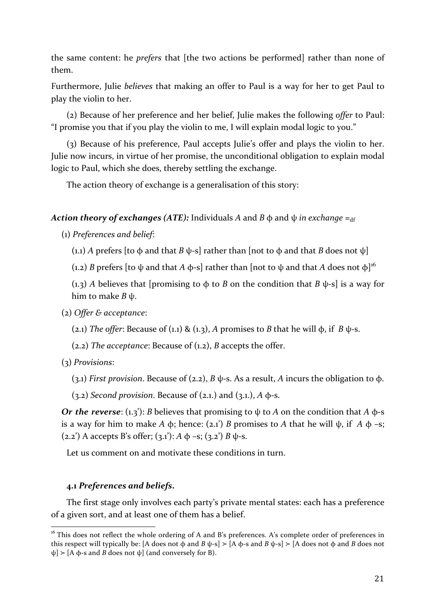the same content: he *prefers* that [the two actions be performed] rather than none of them.

Furthermore, Julie *believes* that making an offer to Paul is a way for her to get Paul to play the violin to her.

(2) Because of her preference and her belief, Julie makes the following *offer* to Paul: "I promise you that if you play the violin to me, I will explain modal logic to you."

(3) Because of his preference, Paul accepts Julie's offer and plays the violin to her. Julie now incurs, in virtue of her promise, the unconditional obligation to explain modal logic to Paul, which she does, thereby settling the exchange.

The action theory of exchange is a generalisation of this story:

*Action theory of exchanges (ATE):* Individuals *A* and *B*  $\phi$  and  $\psi$  *in exchange* = df

(1) *Preferences and belief*: 

(1.1) *A* prefers [to  $\phi$  and that *B*  $\psi$ -s] rather than [not to  $\phi$  and that *B* does not  $\psi$ ]

(1.2) *B* prefers [to ψ and that *A* φ-s] rather than [not to ψ and that *A* does not  $\phi$ ]<sup>16</sup>

(1.3) *A* believes that [promising to  $\phi$  to *B* on the condition that *B*  $\psi$ -s] is a way for him to make *B* ψ.

(2) *Offer & acceptance*: 

(2.1) *The offer*: Because of (1.1) & (1.3), *A* promises to *B* that he will  $\phi$ , if *B*  $\psi$ -s.

(2.2) *The acceptance*: Because of  $(1.2)$ , *B* accepts the offer.

(3) *Provisions*:

(3.1) *First provision.* Because of (2.2),  $B \psi$ -s. As a result, A incurs the obligation to  $\phi$ .

(3.2) *Second provision*. Because of  $(2.1)$  and  $(3.1)$ , *A*  $\phi$ -s.

*Or the reverse*:  $(1,3')$ : *B* believes that promising to  $\psi$  to *A* on the condition that *A*  $\phi$ -s is a way for him to make *A*  $\phi$ ; hence: (2.1') *B* promises to *A* that he will  $\psi$ , if *A*  $\phi$  –s; (2.2<sup>'</sup>) A accepts B's offer; (3.1'):  $A$  φ –s; (3.2')  $B$  ψ-s.

Let us comment on and motivate these conditions in turn.

### **4.1** *Preferences and beliefs***.**

The first stage only involves each party's private mental states: each has a preference of a given sort, and at least one of them has a belief.

<sup>&</sup>lt;sup>16</sup> This does not reflect the whole ordering of A and B's preferences. A's complete order of preferences in this respect will typically be: [A does not  $\phi$  and  $B \psi$ -s]  $\geq$  [A  $\phi$ -s and  $B \psi$ -s]  $\geq$  [A does not  $\phi$  and  $B$  does not  $\psi$  > [A  $\phi$ -s and *B* does not  $\psi$ ] (and conversely for B).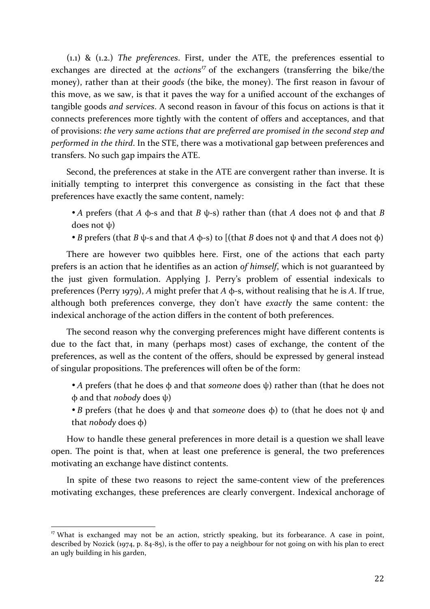$(1.1)$  &  $(1.2)$ . The preferences. First, under the ATE, the preferences essential to exchanges are directed at the *actions<sup>17</sup>* of the exchangers (transferring the bike/the money), rather than at their *goods* (the bike, the money). The first reason in favour of this move, as we saw, is that it paves the way for a unified account of the exchanges of tangible goods *and services*. A second reason in favour of this focus on actions is that it connects preferences more tightly with the content of offers and acceptances, and that of provisions: the very same actions that are preferred are promised in the second step and *performed in the third*. In the STE, there was a motivational gap between preferences and transfers. No such gap impairs the ATE.

Second, the preferences at stake in the ATE are convergent rather than inverse. It is initially tempting to interpret this convergence as consisting in the fact that these preferences have exactly the same content, namely:

• *A* prefers (that *A*  $\phi$ -s and that *B*  $\psi$ -s) rather than (that *A* does not  $\phi$  and that *B* does not  $\psi$ )

• *B* prefers (that *B*  $\psi$ -s and that *A*  $\phi$ -s) to [(that *B* does not  $\psi$  and that *A* does not  $\phi$ )

There are however two quibbles here. First, one of the actions that each party prefers is an action that he identifies as an action of himself, which is not guaranteed by the just given formulation. Applying J. Perry's problem of essential indexicals to preferences (Perry 1979), *A* might prefer that  $A \phi$ -s, without realising that he is  $A$ . If true, although both preferences converge, they don't have *exactly* the same content: the indexical anchorage of the action differs in the content of both preferences.

The second reason why the converging preferences might have different contents is due to the fact that, in many (perhaps most) cases of exchange, the content of the preferences, as well as the content of the offers, should be expressed by general instead of singular propositions. The preferences will often be of the form:

- *A* prefers (that he does  $\phi$  and that *someone* does  $\psi$ ) rather than (that he does not  $\phi$  and that *nobody* does  $\psi$ )
- *B* prefers (that he does  $\psi$  and that *someone* does  $\phi$ ) to (that he does not  $\psi$  and that *nobody* does φ)

How to handle these general preferences in more detail is a question we shall leave open. The point is that, when at least one preference is general, the two preferences motivating an exchange have distinct contents.

In spite of these two reasons to reject the same-content view of the preferences motivating exchanges, these preferences are clearly convergent. Indexical anchorage of

<sup>&</sup>lt;sup>17</sup> What is exchanged may not be an action, strictly speaking, but its forbearance. A case in point, described by Nozick  $(1974, p. 84-85)$ , is the offer to pay a neighbour for not going on with his plan to erect an ugly building in his garden.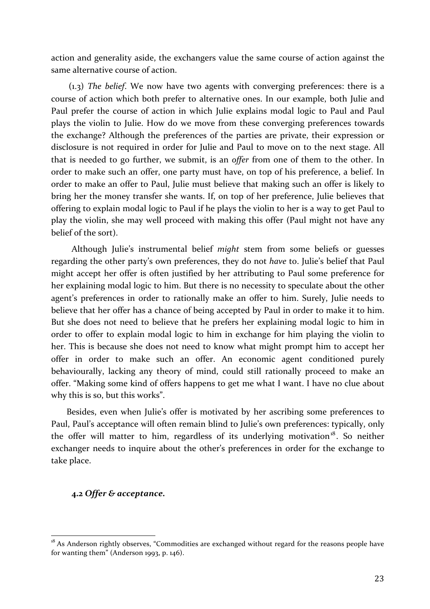action and generality aside, the exchangers value the same course of action against the same alternative course of action.

(1.3) *The belief*. We now have two agents with converging preferences: there is a course of action which both prefer to alternative ones. In our example, both Julie and Paul prefer the course of action in which Julie explains modal logic to Paul and Paul plays the violin to Julie. How do we move from these converging preferences towards the exchange? Although the preferences of the parties are private, their expression or disclosure is not required in order for Julie and Paul to move on to the next stage. All that is needed to go further, we submit, is an *offer* from one of them to the other. In order to make such an offer, one party must have, on top of his preference, a belief. In order to make an offer to Paul, Julie must believe that making such an offer is likely to bring her the money transfer she wants. If, on top of her preference, Julie believes that offering to explain modal logic to Paul if he plays the violin to her is a way to get Paul to play the violin, she may well proceed with making this offer (Paul might not have any belief of the sort).

Although Julie's instrumental belief *might* stem from some beliefs or guesses regarding the other party's own preferences, they do not *have* to. Julie's belief that Paul might accept her offer is often justified by her attributing to Paul some preference for her explaining modal logic to him. But there is no necessity to speculate about the other agent's preferences in order to rationally make an offer to him. Surely, Julie needs to believe that her offer has a chance of being accepted by Paul in order to make it to him. But she does not need to believe that he prefers her explaining modal logic to him in order to offer to explain modal logic to him in exchange for him playing the violin to her. This is because she does not need to know what might prompt him to accept her offer in order to make such an offer. An economic agent conditioned purely behaviourally, lacking any theory of mind, could still rationally proceed to make an offer. "Making some kind of offers happens to get me what I want. I have no clue about why this is so, but this works".

Besides, even when Julie's offer is motivated by her ascribing some preferences to Paul, Paul's acceptance will often remain blind to Julie's own preferences: typically, only the offer will matter to him, regardless of its underlying motivation<sup>18</sup>. So neither exchanger needs to inquire about the other's preferences in order for the exchange to take place.

# **4.2** *Offer & acceptance.*

 $18$  As Anderson rightly observes, "Commodities are exchanged without regard for the reasons people have for wanting them" (Anderson 1993, p. 146).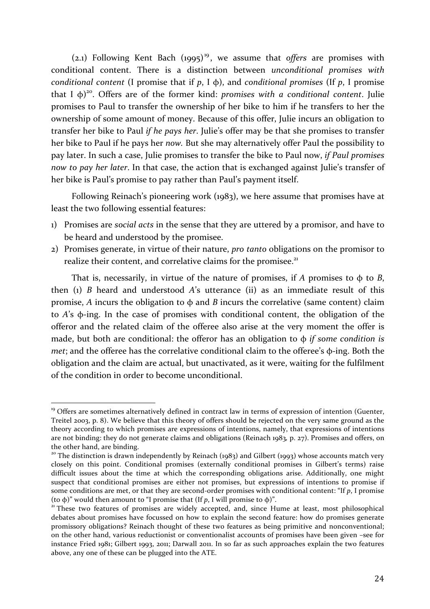$(2.1)$  Following Kent Bach  $(1995)^{19}$ , we assume that *offers* are promises with conditional content. There is a distinction between *unconditional promises* with *conditional content* (I promise that if  $p$ , I  $\phi$ ), and *conditional promises* (If  $p$ , I promise that  $I \phi$ <sup>20</sup>. Offers are of the former kind: *promises* with a conditional content. Julie promises to Paul to transfer the ownership of her bike to him if he transfers to her the ownership of some amount of money. Because of this offer, Julie incurs an obligation to transfer her bike to Paul *if he pays her*. Julie's offer may be that she promises to transfer her bike to Paul if he pays her *now*. But she may alternatively offer Paul the possibility to pay later. In such a case, Julie promises to transfer the bike to Paul now, *if Paul promises now to pay her later*. In that case, the action that is exchanged against Julie's transfer of her bike is Paul's promise to pay rather than Paul's payment itself.

Following Reinach's pioneering work (1983), we here assume that promises have at least the two following essential features:

- 1) Promises are *social acts* in the sense that they are uttered by a promisor, and have to be heard and understood by the promisee.
- 2) Promises generate, in virtue of their nature, *pro tanto* obligations on the promisor to realize their content, and correlative claims for the promisee.<sup>21</sup>

That is, necessarily, in virtue of the nature of promises, if *A* promises to  $\phi$  to *B*, then  $(1)$  *B* heard and understood *A*'s utterance  $(ii)$  as an immediate result of this promise, *A* incurs the obligation to  $\phi$  and *B* incurs the correlative (same content) claim to *A*'s φ-ing. In the case of promises with conditional content, the obligation of the offeror and the related claim of the offeree also arise at the very moment the offer is made, but both are conditional: the offeror has an obligation to  $\phi$  *if some condition* is *met*; and the offeree has the correlative conditional claim to the offeree's φ-ing. Both the obligation and the claim are actual, but unactivated, as it were, waiting for the fulfilment of the condition in order to become unconditional.

<sup>&</sup>lt;sup>19</sup> Offers are sometimes alternatively defined in contract law in terms of expression of intention (Guenter, Treitel  $2003$ , p. 8). We believe that this theory of offers should be rejected on the very same ground as the theory according to which promises are expressions of intentions, namely, that expressions of intentions are not binding: they do not generate claims and obligations (Reinach 1983, p. 27). Promises and offers, on the other hand, are binding.

<sup>&</sup>lt;sup>20</sup> The distinction is drawn independently by Reinach (1983) and Gilbert (1993) whose accounts match very closely on this point. Conditional promises (externally conditional promises in Gilbert's terms) raise difficult issues about the time at which the corresponding obligations arise. Additionally, one might suspect that conditional promises are either not promises, but expressions of intentions to promise if some conditions are met, or that they are second-order promises with conditional content: "If p, I promise (to  $\phi$ )" would then amount to "I promise that (If *p*, I will promise to  $\phi$ )".<br><sup>21</sup> These two features of promises are widely accepted, and, since Hume at least, most philosophical

debates about promises have focussed on how to explain the second feature: how do promises generate promissory obligations? Reinach thought of these two features as being primitive and nonconventional; on the other hand, various reductionist or conventionalist accounts of promises have been given -see for instance Fried 1981; Gilbert 1993, 2011; Darwall 2011. In so far as such approaches explain the two features above, any one of these can be plugged into the ATE.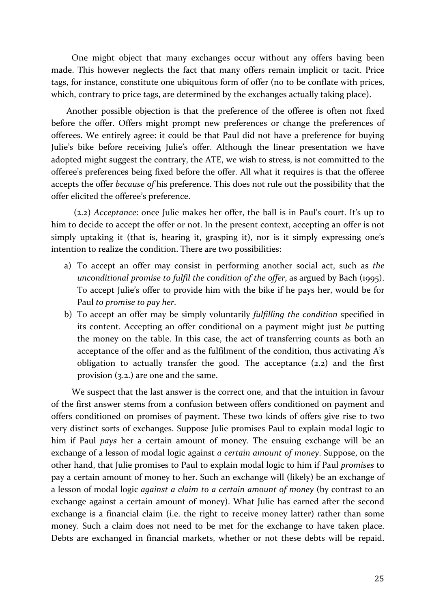One might object that many exchanges occur without any offers having been made. This however neglects the fact that many offers remain implicit or tacit. Price tags, for instance, constitute one ubiquitous form of offer (no to be conflate with prices, which, contrary to price tags, are determined by the exchanges actually taking place).

Another possible objection is that the preference of the offeree is often not fixed before the offer. Offers might prompt new preferences or change the preferences of offerees. We entirely agree: it could be that Paul did not have a preference for buying Julie's bike before receiving Julie's offer. Although the linear presentation we have adopted might suggest the contrary, the ATE, we wish to stress, is not committed to the offeree's preferences being fixed before the offer. All what it requires is that the offeree accepts the offer *because* of his preference. This does not rule out the possibility that the offer elicited the offeree's preference.

(2.2) *Acceptance*: once Julie makes her offer, the ball is in Paul's court. It's up to him to decide to accept the offer or not. In the present context, accepting an offer is not simply uptaking it (that is, hearing it, grasping it), nor is it simply expressing one's intention to realize the condition. There are two possibilities:

- a) To accept an offer may consist in performing another social act, such as *the unconditional promise to fulfil the condition of the offer, as argued by Bach (1995).* To accept Julie's offer to provide him with the bike if he pays her, would be for Paul *to promise to pay her.*
- b) To accept an offer may be simply voluntarily *fulfilling the condition* specified in its content. Accepting an offer conditional on a payment might just be putting the money on the table. In this case, the act of transferring counts as both an acceptance of the offer and as the fulfilment of the condition, thus activating  $A$ 's obligation to actually transfer the good. The acceptance  $(2.2)$  and the first provision  $(3.2)$  are one and the same.

We suspect that the last answer is the correct one, and that the intuition in favour of the first answer stems from a confusion between offers conditioned on payment and offers conditioned on promises of payment. These two kinds of offers give rise to two very distinct sorts of exchanges. Suppose Julie promises Paul to explain modal logic to him if Paul *pays* her a certain amount of money. The ensuing exchange will be an exchange of a lesson of modal logic against *a certain amount of money*. Suppose, on the other hand, that Julie promises to Paul to explain modal logic to him if Paul *promises* to pay a certain amount of money to her. Such an exchange will (likely) be an exchange of a lesson of modal logic *against a claim to a certain amount of money* (by contrast to an exchange against a certain amount of money). What Julie has earned after the second exchange is a financial claim (i.e. the right to receive money latter) rather than some money. Such a claim does not need to be met for the exchange to have taken place. Debts are exchanged in financial markets, whether or not these debts will be repaid.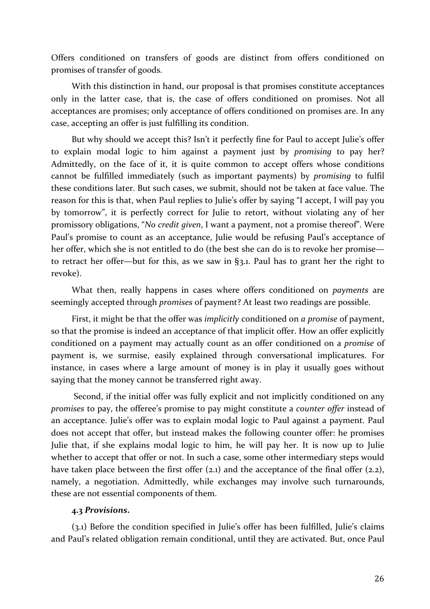Offers conditioned on transfers of goods are distinct from offers conditioned on promises of transfer of goods.

With this distinction in hand, our proposal is that promises constitute acceptances only in the latter case, that is, the case of offers conditioned on promises. Not all acceptances are promises; only acceptance of offers conditioned on promises are. In any case, accepting an offer is just fulfilling its condition.

But why should we accept this? Isn't it perfectly fine for Paul to accept Julie's offer to explain modal logic to him against a payment just by *promising* to pay her? Admittedly, on the face of it, it is quite common to accept offers whose conditions cannot be fulfilled immediately (such as important payments) by *promising* to fulfil these conditions later. But such cases, we submit, should not be taken at face value. The reason for this is that, when Paul replies to Julie's offer by saying "I accept, I will pay you by tomorrow", it is perfectly correct for Julie to retort, without violating any of her promissory obligations, "*No credit given*, I want a payment, not a promise thereof". Were Paul's promise to count as an acceptance, Julie would be refusing Paul's acceptance of her offer, which she is not entitled to do (the best she can do is to revoke her promise to retract her offer—but for this, as we saw in  $\S$ 3.1. Paul has to grant her the right to revoke).

What then, really happens in cases where offers conditioned on *payments* are seemingly accepted through *promises* of payment? At least two readings are possible.

First, it might be that the offer was *implicitly* conditioned on *a promise* of payment, so that the promise is indeed an acceptance of that implicit offer. How an offer explicitly conditioned on a payment may actually count as an offer conditioned on a *promise* of payment is, we surmise, easily explained through conversational implicatures. For instance, in cases where a large amount of money is in play it usually goes without saying that the money cannot be transferred right away.

Second, if the initial offer was fully explicit and not implicitly conditioned on any *promises* to pay, the offeree's promise to pay might constitute a *counter* offer instead of an acceptance. Julie's offer was to explain modal logic to Paul against a payment. Paul does not accept that offer, but instead makes the following counter offer: he promises Julie that, if she explains modal logic to him, he will pay her. It is now up to Julie whether to accept that offer or not. In such a case, some other intermediary steps would have taken place between the first offer  $(2.1)$  and the acceptance of the final offer  $(2.2)$ , namely, a negotiation. Admittedly, while exchanges may involve such turnarounds, these are not essential components of them.

## **4.3** *Provisions***.**

(3.1) Before the condition specified in Julie's offer has been fulfilled, Julie's claims and Paul's related obligation remain conditional, until they are activated. But, once Paul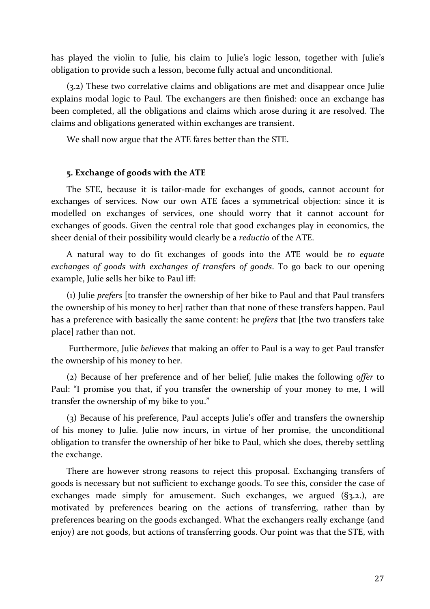has played the violin to Julie, his claim to Julie's logic lesson, together with Julie's obligation to provide such a lesson, become fully actual and unconditional.

(3.2) These two correlative claims and obligations are met and disappear once Julie explains modal logic to Paul. The exchangers are then finished: once an exchange has been completed, all the obligations and claims which arose during it are resolved. The claims and obligations generated within exchanges are transient.

We shall now argue that the ATE fares better than the STE.

#### **5. Exchange of goods with the ATE**

The STE, because it is tailor-made for exchanges of goods, cannot account for exchanges of services. Now our own ATE faces a symmetrical objection: since it is modelled on exchanges of services, one should worry that it cannot account for exchanges of goods. Given the central role that good exchanges play in economics, the sheer denial of their possibility would clearly be a *reductio* of the ATE.

A natural way to do fit exchanges of goods into the ATE would be *to equate exchanges of goods with exchanges of transfers of goods*. To go back to our opening example, Julie sells her bike to Paul iff:

(1) Julie *prefers* [to transfer the ownership of her bike to Paul and that Paul transfers the ownership of his money to her] rather than that none of these transfers happen. Paul has a preference with basically the same content: he *prefers* that [the two transfers take place] rather than not.

Furthermore, Julie *believes* that making an offer to Paul is a way to get Paul transfer the ownership of his money to her.

(2) Because of her preference and of her belief, Julie makes the following *offer* to Paul: "I promise you that, if you transfer the ownership of your money to me, I will transfer the ownership of my bike to you."

(3) Because of his preference, Paul accepts Julie's offer and transfers the ownership of his money to Julie. Julie now incurs, in virtue of her promise, the unconditional obligation to transfer the ownership of her bike to Paul, which she does, thereby settling the exchange.

There are however strong reasons to reject this proposal. Exchanging transfers of goods is necessary but not sufficient to exchange goods. To see this, consider the case of exchanges made simply for amusement. Such exchanges, we argued  $(S_3, 2)$ , are motivated by preferences bearing on the actions of transferring, rather than by preferences bearing on the goods exchanged. What the exchangers really exchange (and enjoy) are not goods, but actions of transferring goods. Our point was that the STE, with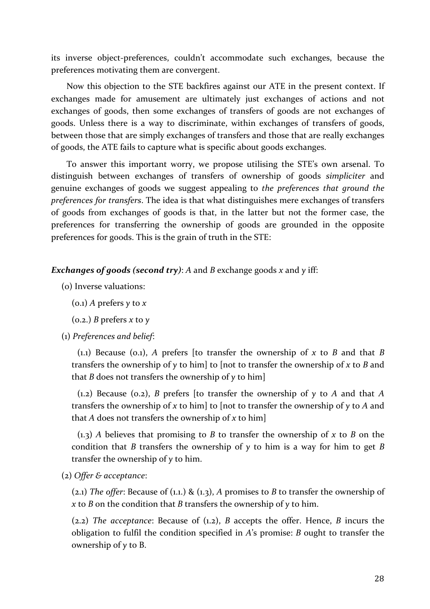its inverse object-preferences, couldn't accommodate such exchanges, because the preferences motivating them are convergent.

Now this objection to the STE backfires against our ATE in the present context. If exchanges made for amusement are ultimately just exchanges of actions and not exchanges of goods, then some exchanges of transfers of goods are not exchanges of goods. Unless there is a way to discriminate, within exchanges of transfers of goods, between those that are simply exchanges of transfers and those that are really exchanges of goods, the ATE fails to capture what is specific about goods exchanges.

To answer this important worry, we propose utilising the STE's own arsenal. To distinguish between exchanges of transfers of ownership of goods *simpliciter* and genuine exchanges of goods we suggest appealing to *the preferences* that ground the *preferences for transfers*. The idea is that what distinguishes mere exchanges of transfers of goods from exchanges of goods is that, in the latter but not the former case, the preferences for transferring the ownership of goods are grounded in the opposite preferences for goods. This is the grain of truth in the STE:

### *Exchanges of goods (second try): A* and *B* exchange goods *x* and *y* iff:

(o) Inverse valuations:

 $(0.1)$  *A* prefers  $\gamma$  to *x* 

 $(0.2)$  *B* prefers *x* to *y* 

(1) *Preferences and belief*: 

 $(1.1)$  Because  $(0.1)$ , *A* prefers [to transfer the ownership of *x* to *B* and that *B* transfers the ownership of y to him] to [not to transfer the ownership of x to *B* and that *B* does not transfers the ownership of  $\gamma$  to him]

(1.2) Because (0.2), *B* prefers [to transfer the ownership of  $y$  to *A* and that *A* transfers the ownership of x to him] to [not to transfer the ownership of y to A and that *A* does not transfers the ownership of *x* to him]

(1.3) *A* believes that promising to *B* to transfer the ownership of *x* to *B* on the condition that *B* transfers the ownership of  $y$  to him is a way for him to get *B* transfer the ownership of *y* to him.

(2) *Offer & acceptance*: 

(2.1) *The offer*: Because of (1.1.) & (1.3), *A* promises to *B* to transfer the ownership of *x* to *B* on the condition that *B* transfers the ownership of *y* to him.

(2.2) *The acceptance*: Because of  $(1.2)$ , *B* accepts the offer. Hence, *B* incurs the obligation to fulfil the condition specified in *A*'s promise: *B* ought to transfer the ownership of *y* to B.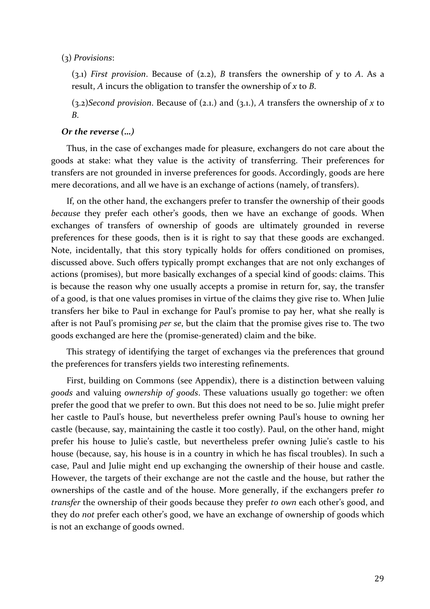### (3) *Provisions*:

(3.1) *First provision.* Because of  $(2.2)$ , *B* transfers the ownership of y to *A*. As a result,  $A$  incurs the obligation to transfer the ownership of  $x$  to  $B$ .

 $(3.2)$ *Second provision.* Because of  $(2.1)$  and  $(3.1)$ , *A* transfers the ownership of *x* to *B*.

# *Or the reverse (...)*

Thus, in the case of exchanges made for pleasure, exchangers do not care about the goods at stake: what they value is the activity of transferring. Their preferences for transfers are not grounded in inverse preferences for goods. Accordingly, goods are here mere decorations, and all we have is an exchange of actions (namely, of transfers).

If, on the other hand, the exchangers prefer to transfer the ownership of their goods *because* they prefer each other's goods, then we have an exchange of goods. When exchanges of transfers of ownership of goods are ultimately grounded in reverse preferences for these goods, then is it is right to say that these goods are exchanged. Note, incidentally, that this story typically holds for offers conditioned on promises, discussed above. Such offers typically prompt exchanges that are not only exchanges of actions (promises), but more basically exchanges of a special kind of goods: claims. This is because the reason why one usually accepts a promise in return for, say, the transfer of a good, is that one values promises in virtue of the claims they give rise to. When Julie transfers her bike to Paul in exchange for Paul's promise to pay her, what she really is after is not Paul's promising *per se*, but the claim that the promise gives rise to. The two goods exchanged are here the (promise-generated) claim and the bike.

This strategy of identifying the target of exchanges via the preferences that ground the preferences for transfers yields two interesting refinements.

First, building on Commons (see Appendix), there is a distinction between valuing *goods* and valuing *ownership* of *goods*. These valuations usually go together: we often prefer the good that we prefer to own. But this does not need to be so. Julie might prefer her castle to Paul's house, but nevertheless prefer owning Paul's house to owning her castle (because, say, maintaining the castle it too costly). Paul, on the other hand, might prefer his house to Julie's castle, but nevertheless prefer owning Julie's castle to his house (because, say, his house is in a country in which he has fiscal troubles). In such a case, Paul and Julie might end up exchanging the ownership of their house and castle. However, the targets of their exchange are not the castle and the house, but rather the ownerships of the castle and of the house. More generally, if the exchangers prefer to *transfer* the ownership of their goods because they prefer to own each other's good, and they do *not* prefer each other's good, we have an exchange of ownership of goods which is not an exchange of goods owned.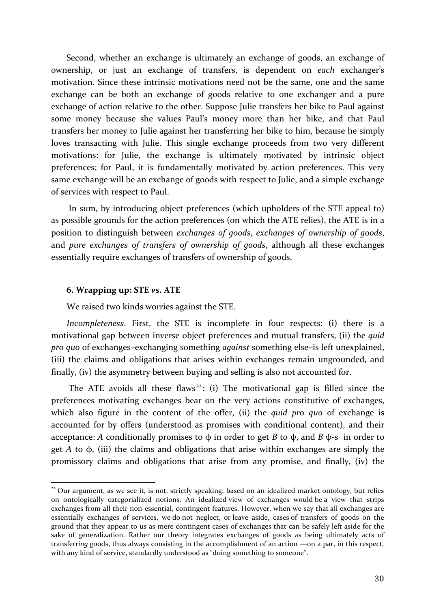Second, whether an exchange is ultimately an exchange of goods, an exchange of ownership, or just an exchange of transfers, is dependent on *each* exchanger's motivation. Since these intrinsic motivations need not be the same, one and the same exchange can be both an exchange of goods relative to one exchanger and a pure exchange of action relative to the other. Suppose Julie transfers her bike to Paul against some money because she values Paul's money more than her bike, and that Paul transfers her money to Julie against her transferring her bike to him, because he simply loves transacting with Julie. This single exchange proceeds from two very different motivations: for Julie, the exchange is ultimately motivated by intrinsic object preferences; for Paul, it is fundamentally motivated by action preferences. This very same exchange will be an exchange of goods with respect to Julie, and a simple exchange of services with respect to Paul.

In sum, by introducing object preferences (which upholders of the STE appeal to) as possible grounds for the action preferences (on which the ATE relies), the ATE is in a position to distinguish between *exchanges* of *goods*, *exchanges* of *ownership* of *goods*, and *pure exchanges of transfers of ownership of goods*, although all these exchanges essentially require exchanges of transfers of ownership of goods.

#### **6. Wrapping up: STE** *vs.* **ATE**

We raised two kinds worries against the STE.

*Incompleteness*. First, the STE is incomplete in four respects: (i) there is a motivational gap between inverse object preferences and mutual transfers, (ii) the *quid pro quo* of exchanges–exchanging something *against* something else–is left unexplained, (iii) the claims and obligations that arises within exchanges remain ungrounded, and finally, (iv) the asymmetry between buying and selling is also not accounted for.

The ATE avoids all these flaws<sup>22</sup>: (i) The motivational gap is filled since the preferences motivating exchanges bear on the very actions constitutive of exchanges, which also figure in the content of the offer, (ii) the *quid* pro *quo* of exchange is accounted for by offers (understood as promises with conditional content), and their acceptance: *A* conditionally promises to  $\phi$  in order to get *B* to  $\psi$ , and *B*  $\psi$ -s in order to get  $A$  to  $\phi$ , (iii) the claims and obligations that arise within exchanges are simply the promissory claims and obligations that arise from any promise, and finally, (iv) the

<sup>&</sup>lt;sup>22</sup> Our argument, as we see it, is not, strictly speaking, based on an idealized market ontology, but relies on ontologically categorialized notions. An idealized view of exchanges would be a view that strips exchanges from all their non-essential, contingent features. However, when we say that all exchanges are essentially exchanges of services, we do not neglect, or leave aside, cases of transfers of goods on the ground that they appear to us as mere contingent cases of exchanges that can be safely left aside for the sake of generalization. Rather our theory integrates exchanges of goods as being ultimately acts of transferr*ing* goods, thus always consisting in the accomplishment of an action —on a par, in this respect, with any kind of service, standardly understood as "doing something to someone".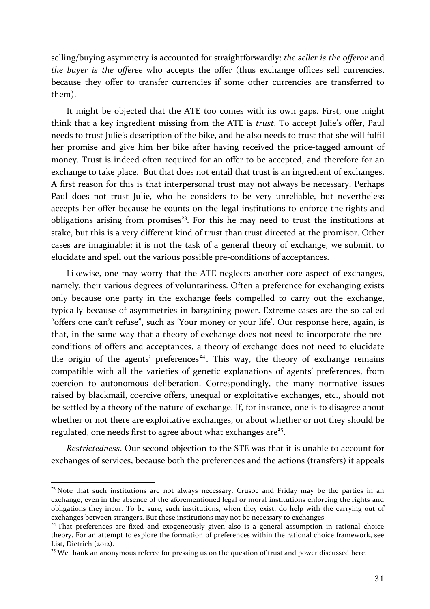selling/buying asymmetry is accounted for straightforwardly: *the seller is the offeror* and *the buyer is the offeree* who accepts the offer (thus exchange offices sell currencies, because they offer to transfer currencies if some other currencies are transferred to them).

It might be objected that the ATE too comes with its own gaps. First, one might think that a key ingredient missing from the ATE is *trust*. To accept Julie's offer, Paul needs to trust Julie's description of the bike, and he also needs to trust that she will fulfil her promise and give him her bike after having received the price-tagged amount of money. Trust is indeed often required for an offer to be accepted, and therefore for an exchange to take place. But that does not entail that trust is an ingredient of exchanges. A first reason for this is that interpersonal trust may not always be necessary. Perhaps Paul does not trust Julie, who he considers to be very unreliable, but nevertheless accepts her offer because he counts on the legal institutions to enforce the rights and obligations arising from promises<sup>23</sup>. For this he may need to trust the institutions at stake, but this is a very different kind of trust than trust directed at the promisor. Other cases are imaginable: it is not the task of a general theory of exchange, we submit, to elucidate and spell out the various possible pre-conditions of acceptances.

Likewise, one may worry that the ATE neglects another core aspect of exchanges, namely, their various degrees of voluntariness. Often a preference for exchanging exists only because one party in the exchange feels compelled to carry out the exchange, typically because of asymmetries in bargaining power. Extreme cases are the so-called "offers one can't refuse", such as 'Your money or your life'. Our response here, again, is that, in the same way that a theory of exchange does not need to incorporate the preconditions of offers and acceptances, a theory of exchange does not need to elucidate the origin of the agents' preferences<sup>24</sup>. This way, the theory of exchange remains compatible with all the varieties of genetic explanations of agents' preferences, from coercion to autonomous deliberation. Correspondingly, the many normative issues raised by blackmail, coercive offers, unequal or exploitative exchanges, etc., should not be settled by a theory of the nature of exchange. If, for instance, one is to disagree about whether or not there are exploitative exchanges, or about whether or not they should be regulated, one needs first to agree about what exchanges are<sup>25</sup>.

*Restrictedness*. Our second objection to the STE was that it is unable to account for exchanges of services, because both the preferences and the actions (transfers) it appeals

 $23$  Note that such institutions are not always necessary. Crusoe and Friday may be the parties in an exchange, even in the absence of the aforementioned legal or moral institutions enforcing the rights and obligations they incur. To be sure, such institutions, when they exist, do help with the carrying out of exchanges between strangers. But these institutions may not be necessary to exchanges.<br><sup>24</sup> That preferences are fixed and exogeneously given also is a general assumption in rational choice

theory. For an attempt to explore the formation of preferences within the rational choice framework, see List, Dietrich (2012).

<sup>&</sup>lt;sup>25</sup> We thank an anonymous referee for pressing us on the question of trust and power discussed here.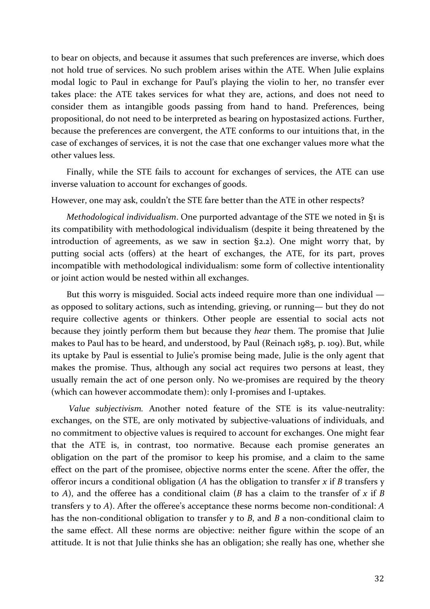to bear on objects, and because it assumes that such preferences are inverse, which does not hold true of services. No such problem arises within the ATE. When Julie explains modal logic to Paul in exchange for Paul's playing the violin to her, no transfer ever takes place: the ATE takes services for what they are, actions, and does not need to consider them as intangible goods passing from hand to hand. Preferences, being propositional, do not need to be interpreted as bearing on hypostasized actions. Further, because the preferences are convergent, the ATE conforms to our intuitions that, in the case of exchanges of services, it is not the case that one exchanger values more what the other values less.

Finally, while the STE fails to account for exchanges of services, the ATE can use inverse valuation to account for exchanges of goods.

However, one may ask, couldn't the STE fare better than the ATE in other respects?

*Methodological individualism*. One purported advantage of the STE we noted in §1 is its compatibility with methodological individualism (despite it being threatened by the introduction of agreements, as we saw in section  $\S$ 2.2). One might worry that, by putting social acts (offers) at the heart of exchanges, the ATE, for its part, proves incompatible with methodological individualism: some form of collective intentionality or joint action would be nested within all exchanges.

But this worry is misguided. Social acts indeed require more than one individual as opposed to solitary actions, such as intending, grieving, or running— but they do not require collective agents or thinkers. Other people are essential to social acts not because they jointly perform them but because they *hear* them. The promise that Julie makes to Paul has to be heard, and understood, by Paul (Reinach 1983, p. 109). But, while its uptake by Paul is essential to Julie's promise being made, Julie is the only agent that makes the promise. Thus, although any social act requires two persons at least, they usually remain the act of one person only. No we-promises are required by the theory (which can however accommodate them): only I-promises and I-uptakes.

*Value subjectivism*. Another noted feature of the STE is its value-neutrality: exchanges, on the STE, are only motivated by subjective-valuations of individuals, and no commitment to objective values is required to account for exchanges. One might fear that the ATE is, in contrast, too normative. Because each promise generates an obligation on the part of the promisor to keep his promise, and a claim to the same effect on the part of the promisee, objective norms enter the scene. After the offer, the offeror incurs a conditional obligation  $(A \text{ has the obligation to transfer } x \text{ if } B \text{ transfers } y$ to *A*), and the offeree has a conditional claim (*B* has a claim to the transfer of *x* if *B* transfers  $\gamma$  to  $\Lambda$ ). After the offeree's acceptance these norms become non-conditional:  $\Lambda$ has the non-conditional obligation to transfer  $y$  to  $B$ , and  $B$  a non-conditional claim to the same effect. All these norms are objective: neither figure within the scope of an attitude. It is not that Julie thinks she has an obligation; she really has one, whether she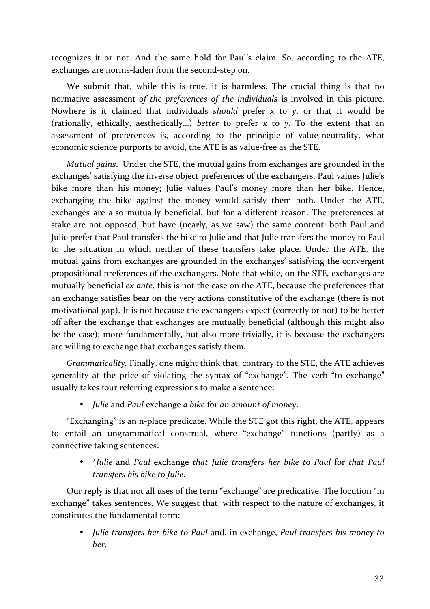recognizes it or not. And the same hold for Paul's claim. So, according to the ATE, exchanges are norms-laden from the second-step on.

We submit that, while this is true, it is harmless. The crucial thing is that no normative assessment of the *preferences* of the *individuals* is involved in this picture. Nowhere is it claimed that individuals *should* prefer  $x$  to  $y$ , or that it would be (rationally, ethically, aesthetically...) *better* to prefer *x* to *y*. To the extent that an assessment of preferences is, according to the principle of value-neutrality, what economic science purports to avoid, the ATE is as value-free as the STE.

*Mutual gains*. Under the STE, the mutual gains from exchanges are grounded in the exchanges' satisfying the inverse object preferences of the exchangers. Paul values Julie's bike more than his money; Julie values Paul's money more than her bike. Hence, exchanging the bike against the money would satisfy them both. Under the ATE, exchanges are also mutually beneficial, but for a different reason. The preferences at stake are not opposed, but have (nearly, as we saw) the same content: both Paul and Julie prefer that Paul transfers the bike to Julie and that Julie transfers the money to Paul to the situation in which neither of these transfers take place. Under the ATE, the mutual gains from exchanges are grounded in the exchanges' satisfying the convergent propositional preferences of the exchangers. Note that while, on the STE, exchanges are mutually beneficial *ex ante*, this is not the case on the ATE, because the preferences that an exchange satisfies bear on the very actions constitutive of the exchange (there is not motivational gap). It is not because the exchangers expect (correctly or not) to be better off after the exchange that exchanges are mutually beneficial (although this might also be the case); more fundamentally, but also more trivially, it is because the exchangers are willing to exchange that exchanges satisfy them.

*Grammaticality.* Finally, one might think that, contrary to the STE, the ATE achieves generality at the price of violating the syntax of "exchange". The verb "to exchange" usually takes four referring expressions to make a sentence:

• *Julie* and *Paul* exchange *a* bike for *an amount of money*.

"Exchanging" is an n-place predicate. While the STE got this right, the ATE, appears to entail an ungrammatical construal, where "exchange" functions (partly) as a connective taking sentences:

• \**Julie* and *Paul* exchange *that Julie transfers her bike to Paul* for *that Paul transfers his bike to Julie*. 

Our reply is that not all uses of the term "exchange" are predicative. The locution "in exchange" takes sentences. We suggest that, with respect to the nature of exchanges, it constitutes the fundamental form:

• *Julie transfers her bike to Paul* and, in exchange, *Paul transfers his money to her*.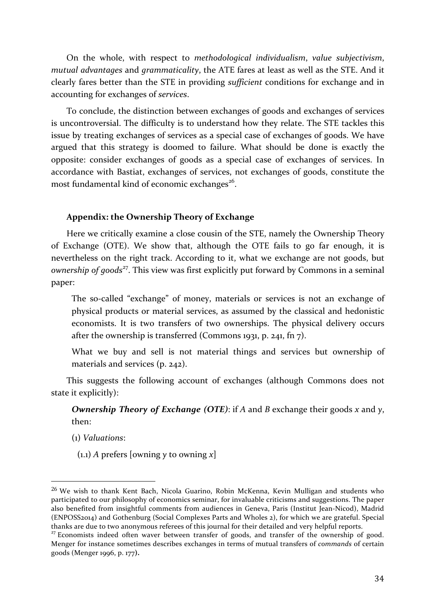On the whole, with respect to *methodological individualism*, *value subjectivism*, *mutual advantages* and *grammaticality*, the ATE fares at least as well as the STE. And it clearly fares better than the STE in providing *sufficient* conditions for exchange and in accounting for exchanges of *services*.

To conclude, the distinction between exchanges of goods and exchanges of services is uncontroversial. The difficulty is to understand how they relate. The STE tackles this issue by treating exchanges of services as a special case of exchanges of goods. We have argued that this strategy is doomed to failure. What should be done is exactly the opposite: consider exchanges of goods as a special case of exchanges of services. In accordance with Bastiat, exchanges of services, not exchanges of goods, constitute the most fundamental kind of economic exchanges<sup>26</sup>.

## Appendix: the Ownership Theory of Exchange

Here we critically examine a close cousin of the STE, namely the Ownership Theory of Exchange (OTE). We show that, although the OTE fails to go far enough, it is nevertheless on the right track. According to it, what we exchange are not goods, but *ownership* of goods<sup>27</sup>. This view was first explicitly put forward by Commons in a seminal paper: 

The so-called "exchange" of money, materials or services is not an exchange of physical products or material services, as assumed by the classical and hedonistic economists. It is two transfers of two ownerships. The physical delivery occurs after the ownership is transferred (Commons 1931, p. 241, fn  $7$ ).

What we buy and sell is not material things and services but ownership of materials and services (p.  $242$ ).

This suggests the following account of exchanges (although Commons does not state it explicitly):

*Ownership Theory of Exchange (OTE)*: if *A* and *B* exchange their goods *x* and *y*, then:

(1) *Valuations*: 

 

 $(1.1)$  *A* prefers [owning *y* to owning *x*]

 $26$  We wish to thank Kent Bach, Nicola Guarino, Robin McKenna, Kevin Mulligan and students who participated to our philosophy of economics seminar, for invaluable criticisms and suggestions. The paper also benefited from insightful comments from audiences in Geneva, Paris (Institut Jean-Nicod), Madrid (ENPOSS2014) and Gothenburg (Social Complexes Parts and Wholes 2), for which we are grateful. Special thanks are due to two anonymous referees of this journal for their detailed and very helpful reports.

 $27$  Economists indeed often waver between transfer of goods, and transfer of the ownership of good. Menger for instance sometimes describes exchanges in terms of mutual transfers of *commands* of certain goods (Menger 1996, p. 177**).**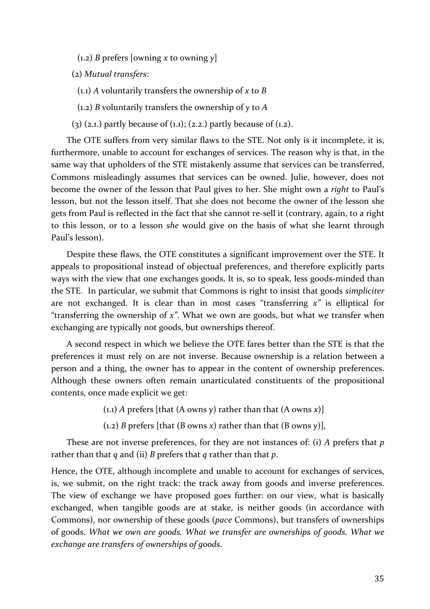- $(1.2)$  *B* prefers [owning *x* to owning *y*]
- (2) *Mutual transfers*:
- (1.1) *A* voluntarily transfers the ownership of *x* to *B*
- (1.2) *B* voluntarily transfers the ownership of  $\gamma$  to *A*
- $(3)$  (2.1.) partly because of  $(1,1)$ ;  $(2.2)$  partly because of  $(1,2)$ .

The OTE suffers from very similar flaws to the STE. Not only is it incomplete, it is, furthermore, unable to account for exchanges of services. The reason why is that, in the same way that upholders of the STE mistakenly assume that services can be transferred, Commons misleadingly assumes that services can be owned. Julie, however, does not become the owner of the lesson that Paul gives to her. She might own a *right* to Paul's lesson, but not the lesson itself. That she does not become the owner of the lesson she gets from Paul is reflected in the fact that she cannot re-sell it (contrary, again, to a right to this lesson, or to a lesson *she* would give on the basis of what she learnt through Paul's lesson).

Despite these flaws, the OTE constitutes a significant improvement over the STE. It appeals to propositional instead of objectual preferences, and therefore explicitly parts ways with the view that one exchanges goods. It is, so to speak, less goods-minded than the STE. In particular, we submit that Commons is right to insist that goods *simpliciter* are not exchanged. It is clear than in most cases "transferring  $x$ " is elliptical for "transferring the ownership of  $x$ ". What we own are goods, but what we transfer when exchanging are typically not goods, but ownerships thereof.

A second respect in which we believe the OTE fares better than the STE is that the preferences it must rely on are not inverse. Because ownership is a relation between a person and a thing, the owner has to appear in the content of ownership preferences. Although these owners often remain unarticulated constituents of the propositional contents, once made explicit we get:

- (1.1) *A* prefers [that (*A* owns *y*) rather than that (*A* owns *x*)]
- (1.2) *B* prefers [that (*B* owns *x*) rather than that (*B* owns *y*)],

These are not inverse preferences, for they are not instances of: (i) *A* prefers that *p* rather than that  $q$  and (ii)  $B$  prefers that  $q$  rather than that  $p$ .

Hence, the OTE, although incomplete and unable to account for exchanges of services, is, we submit, on the right track: the track away from goods and inverse preferences. The view of exchange we have proposed goes further: on our view, what is basically exchanged, when tangible goods are at stake, is neither goods (in accordance with Commons), nor ownership of these goods (*pace* Commons), but transfers of ownerships of goods. What we own are goods. What we transfer are ownerships of goods. What we *exchange are transfers of ownerships of goods.*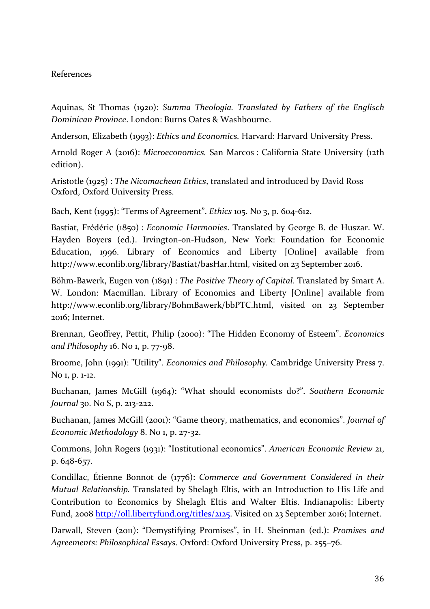# References

Aquinas, St Thomas (1920): *Summa Theologia. Translated by Fathers of the Englisch Dominican Province*. London: Burns Oates & Washbourne.

Anderson, Elizabeth (1993): *Ethics and Economics*. Harvard: Harvard University Press.

Arnold Roger A (2016): *Microeconomics*. San Marcos : California State University (12th edition).

Aristotle (1925) : *The Nicomachean Ethics*, translated and introduced by David Ross Oxford, Oxford University Press.

Bach, Kent (1995): "Terms of Agreement". *Ethics* 105. No 3, p. 604-612.

Bastiat, Frédéric (1850) : *Economic Harmonies*. Translated by George B. de Huszar. W. Hayden Boyers (ed.). Irvington-on-Hudson, New York: Foundation for Economic Education, 1996. Library of Economics and Liberty [Online] available from http://www.econlib.org/library/Bastiat/basHar.html, visited on 23 September 2016.

Böhm-Bawerk, Eugen von (1891) : *The Positive Theory of Capital*. Translated by Smart A. W. London: Macmillan. Library of Economics and Liberty [Online] available from http://www.econlib.org/library/BohmBawerk/bbPTC.html, visited on 23 September 2016; Internet.

Brennan, Geoffrey, Pettit, Philip (2000): "The Hidden Economy of Esteem". *Economics and Philosophy* 16. No 1, p. 77-98.

Broome, John (1991): "Utility". *Economics and Philosophy*. Cambridge University Press 7. No 1, p. 1-12.

Buchanan, James McGill (1964): "What should economists do?". Southern *Economic Journal* 30. No S, p. 213-222.

Buchanan, James McGill (2001): "Game theory, mathematics, and economics". *Journal of Economic Methodology* 8. No 1, p. 27-32.

Commons, John Rogers (1931): "Institutional economics". *American Economic Review* 21, p. 648-657. 

Condillac, Étienne Bonnot de (1776): Commerce and Government Considered in their *Mutual Relationship.* Translated by Shelagh Eltis, with an Introduction to His Life and Contribution to Economics by Shelagh Eltis and Walter Eltis. Indianapolis: Liberty Fund, 2008 http://oll.libertyfund.org/titles/2125. Visited on 23 September 2016; Internet.

Darwall, Steven (2011): "Demystifying Promises", in H. Sheinman (ed.): *Promises and Agreements: Philosophical Essays. Oxford: Oxford University Press, p. 255–76.*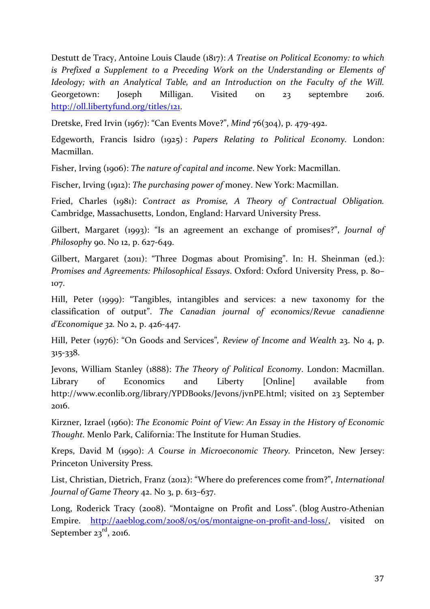Destutt de Tracy, Antoine Louis Claude (1817): *A Treatise on Political Economy: to which is* Prefixed a Supplement to a Preceding Work on the Understanding or Elements of *Ideology;* with an Analytical Table, and an Introduction on the Faculty of the Will. Georgetown: Joseph Milligan. Visited on 23 septembre 2016. http://oll.libertyfund.org/titles/121.

Dretske, Fred Irvin (1967): "Can Events Move?", *Mind* 76(304), p. 479-492.

Edgeworth, Francis Isidro (1925) : Papers Relating to Political Economy. London: Macmillan.

Fisher, Irving (1906): *The nature of capital and income*. New York: Macmillan.

Fischer, Irving (1912): *The purchasing power of money*. New York: Macmillan.

Fried, Charles (1981): Contract as Promise, A Theory of Contractual Obligation. Cambridge, Massachusetts, London, England: Harvard University Press.

Gilbert, Margaret (1993): "Is an agreement an exchange of promises?", *Journal of Philosophy* 90. No 12, p. 627-649.

Gilbert, Margaret (2011): "Three Dogmas about Promising". In: H. Sheinman (ed.): *Promises and Agreements: Philosophical Essays. Oxford: Oxford University Press, p. 80-*107.

Hill, Peter (1999): "Tangibles, intangibles and services: a new taxonomy for the classification of output". The Canadian journal of economics/Revue canadienne *d'Economique 32.* No 2, p. 426-447.

Hill, Peter (1976): "On Goods and Services", *Review of Income and Wealth* 23. No 4, p. 315-338.

Jevons, William Stanley (1888): *The Theory of Political Economy*. London: Macmillan. Library of Economics and Liberty [Online] available from http://www.econlib.org/library/YPDBooks/Jevons/jvnPE.html; visited on 23 September 2016. 

Kirzner, Izrael (1960): *The Economic Point of View: An Essay in the History of Economic Thought.* Menlo Park, California: The Institute for Human Studies.

Kreps, David M (1990): *A Course in Microeconomic Theory*. Princeton, New Jersey: Princeton University Press.

List, Christian, Dietrich, Franz (2012): "Where do preferences come from?", *International Journal of Game Theory* 42. No 3, p. 613-637.

Long, Roderick Tracy (2008). "Montaigne on Profit and Loss". (blog Austro-Athenian Empire. http://aaeblog.com/2008/05/05/montaigne-on-profit-and-loss/, visited on September  $23^{\text{rd}}$ , 2016.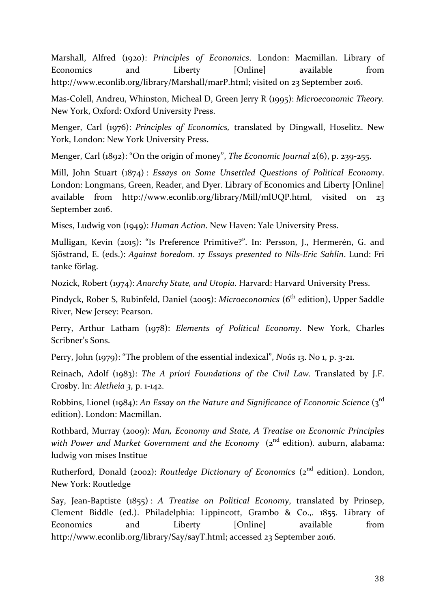Marshall, Alfred (1920): *Principles of Economics*. London: Macmillan. Library of Economics and Liberty [Online] available from http://www.econlib.org/library/Marshall/marP.html; visited on 23 September 2016.

Mas-Colell, Andreu, Whinston, Micheal D, Green Jerry R (1995): *Microeconomic Theory.* New York, Oxford: Oxford University Press.

Menger, Carl (1976): *Principles of Economics*, translated by Dingwall, Hoselitz. New York, London: New York University Press.

Menger, Carl (1892): "On the origin of money", *The Economic Journal* 2(6), p. 239-255.

Mill, John Stuart (1874) : *Essays* on Some Unsettled Questions of Political Economy. London: Longmans, Green, Reader, and Dyer. Library of Economics and Liberty [Online] available from http://www.econlib.org/library/Mill/mlUQP.html, visited on 23 September 2016.

Mises, Ludwig von (1949): *Human Action*. New Haven: Yale University Press.

Mulligan, Kevin (2015): "Is Preference Primitive?". In: Persson, J., Hermerén, G. and Sjöstrand, E. (eds.): *Against boredom.* 17 *Essays presented to Nils-Eric Sahlin.* Lund: Fri tanke förlag.

Nozick, Robert (1974): *Anarchy State, and Utopia*. Harvard: Harvard University Press.

Pindyck, Rober S, Rubinfeld, Daniel (2005): *Microeconomics* (6<sup>th</sup> edition), Upper Saddle River, New Jersey: Pearson.

Perry, Arthur Latham (1978): *Elements of Political Economy*. New York, Charles Scribner's Sons.

Perry, John (1979): "The problem of the essential indexical", *Noûs* 13. No 1, p. 3-21.

Reinach, Adolf (1983): *The A priori Foundations of the Civil Law*. Translated by J.F. Crosby. In: *Aletheia 3*, p. 1-142.

Robbins, Lionel (1984): An Essay on the Nature and Significance of Economic Science (3rd edition). London: Macmillan.

Rothbard, Murray (2009): Man, *Economy and State, A Treatise on Economic Principles with Power and Market Government and the Economy* (2<sup>nd</sup> edition). auburn, alabama: ludwig von mises Institue

Rutherford, Donald (2002): *Routledge Dictionary of Economics* (2<sup>nd</sup> edition). London, New York: Routledge

Say, Jean-Baptiste (1855) : *A Treatise on Political Economy*, translated by Prinsep, Clement Biddle (ed.). Philadelphia: Lippincott, Grambo & Co.,. 1855. Library of Economics and Liberty [Online] available from http://www.econlib.org/library/Say/sayT.html; accessed 23 September 2016.